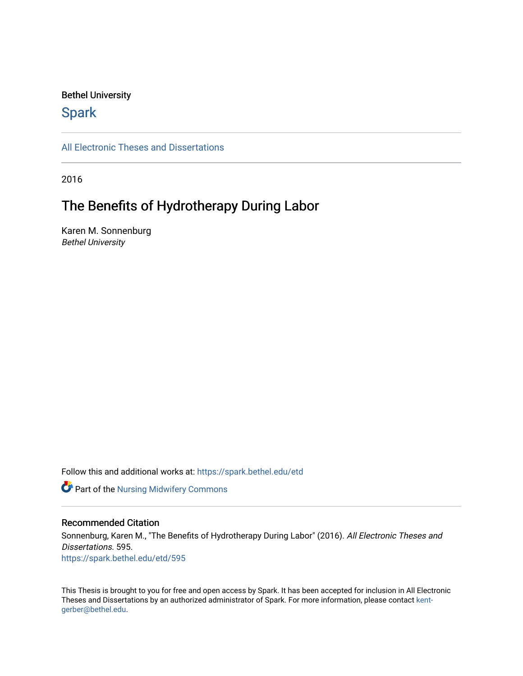#### Bethel University

# **Spark**

[All Electronic Theses and Dissertations](https://spark.bethel.edu/etd) 

2016

# The Benefits of Hydrotherapy During Labor

Karen M. Sonnenburg Bethel University

Follow this and additional works at: [https://spark.bethel.edu/etd](https://spark.bethel.edu/etd?utm_source=spark.bethel.edu%2Fetd%2F595&utm_medium=PDF&utm_campaign=PDFCoverPages)

**Part of the Nursing Midwifery Commons** 

#### Recommended Citation

Sonnenburg, Karen M., "The Benefits of Hydrotherapy During Labor" (2016). All Electronic Theses and Dissertations. 595. [https://spark.bethel.edu/etd/595](https://spark.bethel.edu/etd/595?utm_source=spark.bethel.edu%2Fetd%2F595&utm_medium=PDF&utm_campaign=PDFCoverPages)

This Thesis is brought to you for free and open access by Spark. It has been accepted for inclusion in All Electronic Theses and Dissertations by an authorized administrator of Spark. For more information, please contact [kent](mailto:kent-gerber@bethel.edu)[gerber@bethel.edu.](mailto:kent-gerber@bethel.edu)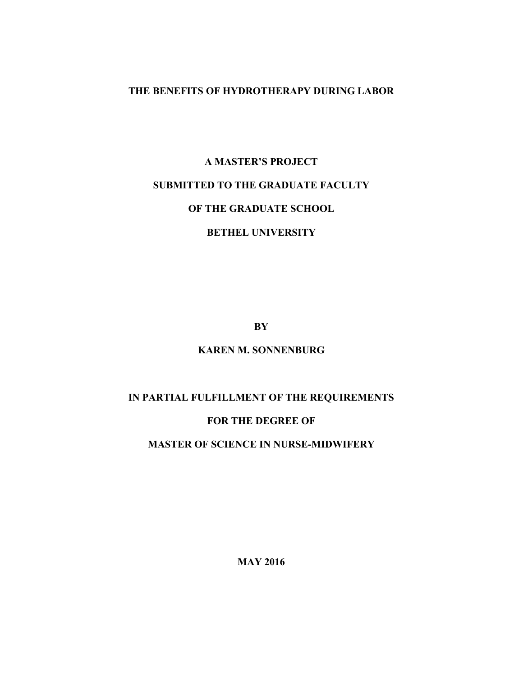### **THE BENEFITS OF HYDROTHERAPY DURING LABOR**

# **A MASTER'S PROJECT SUBMITTED TO THE GRADUATE FACULTY OF THE GRADUATE SCHOOL BETHEL UNIVERSITY**

**BY**

## **KAREN M. SONNENBURG**

## **IN PARTIAL FULFILLMENT OF THE REQUIREMENTS**

#### **FOR THE DEGREE OF**

#### **MASTER OF SCIENCE IN NURSE-MIDWIFERY**

**MAY 2016**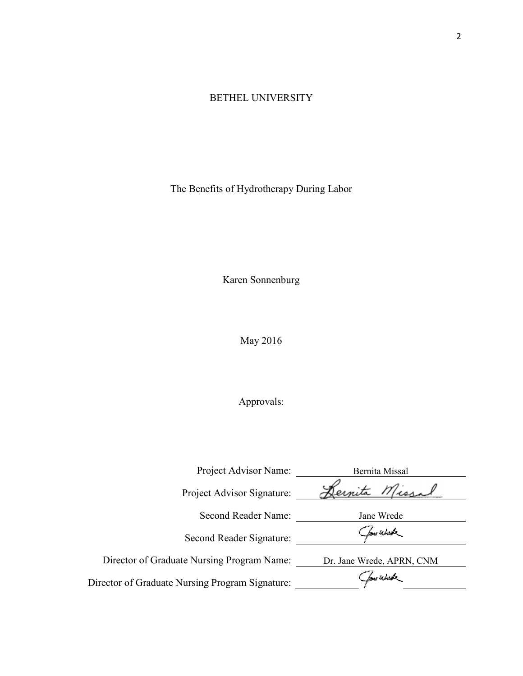## BETHEL UNIVERSITY

The Benefits of Hydrotherapy During Labor

Karen Sonnenburg

May 2016

# Approvals:

| Project Advisor Name:                           | Bernita Missal            |
|-------------------------------------------------|---------------------------|
| Project Advisor Signature:                      | Missal<br>ernita          |
| Second Reader Name:                             | Jane Wrede                |
| Second Reader Signature:                        | Jone Wurste               |
| Director of Graduate Nursing Program Name:      | Dr. Jane Wrede, APRN, CNM |
| Director of Graduate Nursing Program Signature: | four Whene                |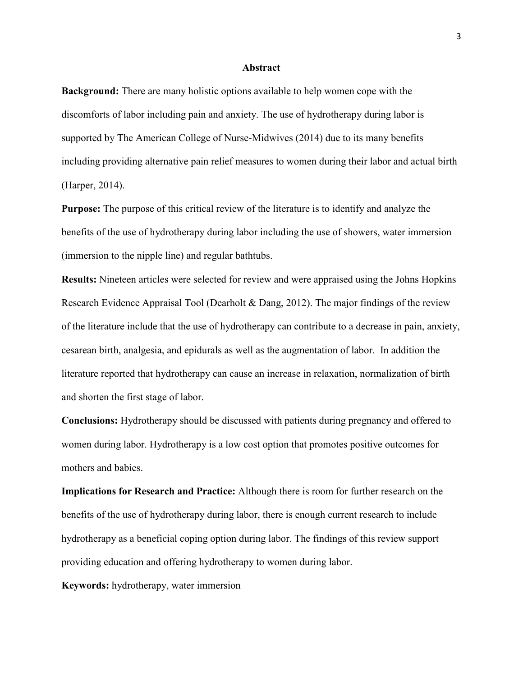#### **Abstract**

**Background:** There are many holistic options available to help women cope with the discomforts of labor including pain and anxiety. The use of hydrotherapy during labor is supported by The American College of Nurse-Midwives (2014) due to its many benefits including providing alternative pain relief measures to women during their labor and actual birth (Harper, 2014).

**Purpose:** The purpose of this critical review of the literature is to identify and analyze the benefits of the use of hydrotherapy during labor including the use of showers, water immersion (immersion to the nipple line) and regular bathtubs.

**Results:** Nineteen articles were selected for review and were appraised using the Johns Hopkins Research Evidence Appraisal Tool (Dearholt & Dang, 2012). The major findings of the review of the literature include that the use of hydrotherapy can contribute to a decrease in pain, anxiety, cesarean birth, analgesia, and epidurals as well as the augmentation of labor. In addition the literature reported that hydrotherapy can cause an increase in relaxation, normalization of birth and shorten the first stage of labor.

**Conclusions:** Hydrotherapy should be discussed with patients during pregnancy and offered to women during labor. Hydrotherapy is a low cost option that promotes positive outcomes for mothers and babies.

**Implications for Research and Practice:** Although there is room for further research on the benefits of the use of hydrotherapy during labor, there is enough current research to include hydrotherapy as a beneficial coping option during labor. The findings of this review support providing education and offering hydrotherapy to women during labor.

**Keywords:** hydrotherapy, water immersion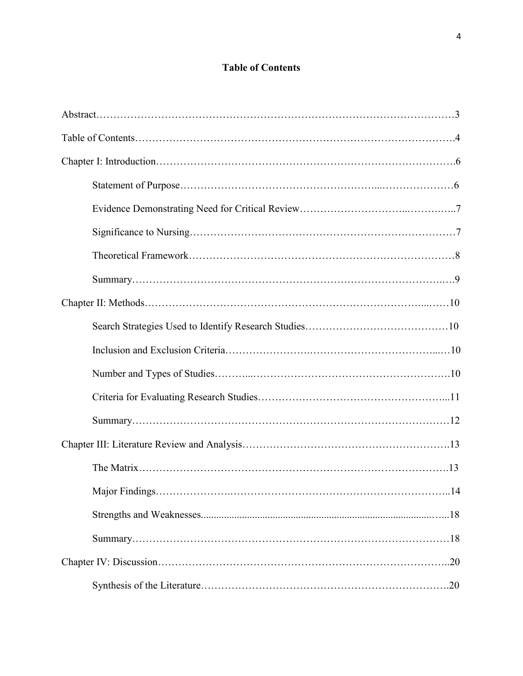# **Table of Contents**

| . 14 |
|------|
|      |
|      |
|      |
|      |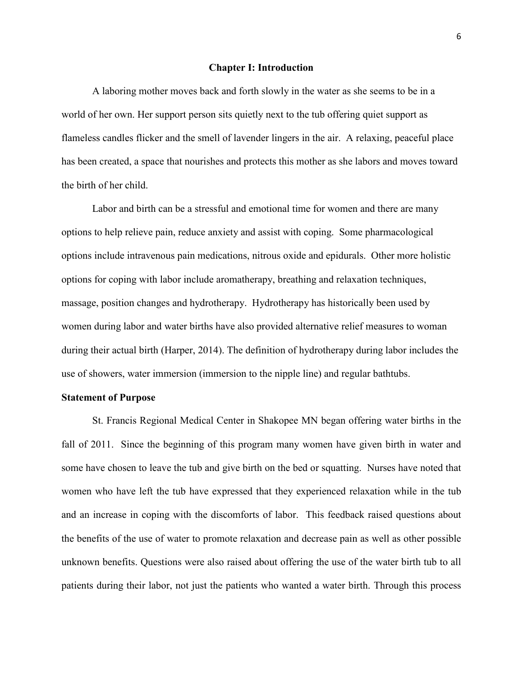#### **Chapter I: Introduction**

A laboring mother moves back and forth slowly in the water as she seems to be in a world of her own. Her support person sits quietly next to the tub offering quiet support as flameless candles flicker and the smell of lavender lingers in the air. A relaxing, peaceful place has been created, a space that nourishes and protects this mother as she labors and moves toward the birth of her child.

Labor and birth can be a stressful and emotional time for women and there are many options to help relieve pain, reduce anxiety and assist with coping. Some pharmacological options include intravenous pain medications, nitrous oxide and epidurals. Other more holistic options for coping with labor include aromatherapy, breathing and relaxation techniques, massage, position changes and hydrotherapy. Hydrotherapy has historically been used by women during labor and water births have also provided alternative relief measures to woman during their actual birth (Harper, 2014). The definition of hydrotherapy during labor includes the use of showers, water immersion (immersion to the nipple line) and regular bathtubs.

#### **Statement of Purpose**

St. Francis Regional Medical Center in Shakopee MN began offering water births in the fall of 2011. Since the beginning of this program many women have given birth in water and some have chosen to leave the tub and give birth on the bed or squatting. Nurses have noted that women who have left the tub have expressed that they experienced relaxation while in the tub and an increase in coping with the discomforts of labor. This feedback raised questions about the benefits of the use of water to promote relaxation and decrease pain as well as other possible unknown benefits. Questions were also raised about offering the use of the water birth tub to all patients during their labor, not just the patients who wanted a water birth. Through this process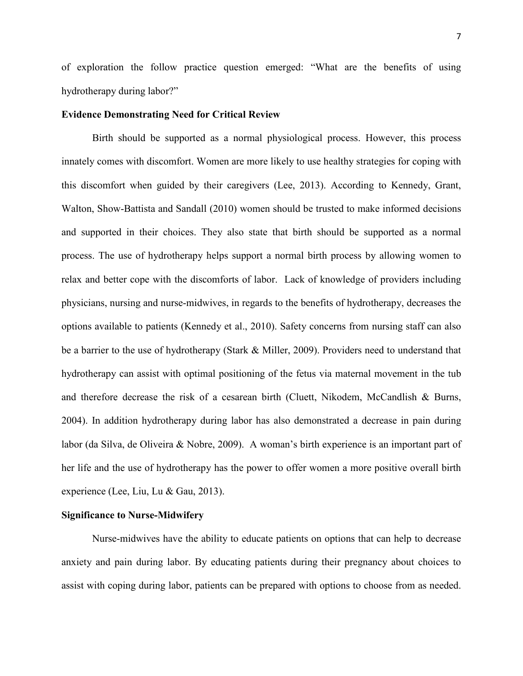of exploration the follow practice question emerged: "What are the benefits of using hydrotherapy during labor?"

#### **Evidence Demonstrating Need for Critical Review**

Birth should be supported as a normal physiological process. However, this process innately comes with discomfort. Women are more likely to use healthy strategies for coping with this discomfort when guided by their caregivers (Lee, 2013). According to Kennedy, Grant, Walton, Show-Battista and Sandall (2010) women should be trusted to make informed decisions and supported in their choices. They also state that birth should be supported as a normal process. The use of hydrotherapy helps support a normal birth process by allowing women to relax and better cope with the discomforts of labor. Lack of knowledge of providers including physicians, nursing and nurse-midwives, in regards to the benefits of hydrotherapy, decreases the options available to patients (Kennedy et al., 2010). Safety concerns from nursing staff can also be a barrier to the use of hydrotherapy (Stark & Miller, 2009). Providers need to understand that hydrotherapy can assist with optimal positioning of the fetus via maternal movement in the tub and therefore decrease the risk of a cesarean birth (Cluett, Nikodem, McCandlish & Burns, 2004). In addition hydrotherapy during labor has also demonstrated a decrease in pain during labor (da Silva, de Oliveira & Nobre, 2009). A woman's birth experience is an important part of her life and the use of hydrotherapy has the power to offer women a more positive overall birth experience (Lee, Liu, Lu & Gau, 2013).

#### **Significance to Nurse-Midwifery**

Nurse-midwives have the ability to educate patients on options that can help to decrease anxiety and pain during labor. By educating patients during their pregnancy about choices to assist with coping during labor, patients can be prepared with options to choose from as needed.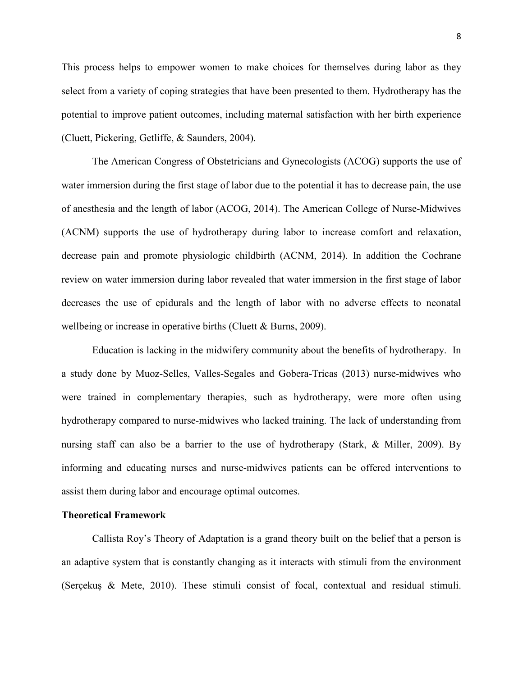This process helps to empower women to make choices for themselves during labor as they select from a variety of coping strategies that have been presented to them. Hydrotherapy has the potential to improve patient outcomes, including maternal satisfaction with her birth experience (Cluett, Pickering, Getliffe, & Saunders, 2004).

The American Congress of Obstetricians and Gynecologists (ACOG) supports the use of water immersion during the first stage of labor due to the potential it has to decrease pain, the use of anesthesia and the length of labor (ACOG, 2014). The American College of Nurse-Midwives (ACNM) supports the use of hydrotherapy during labor to increase comfort and relaxation, decrease pain and promote physiologic childbirth (ACNM, 2014). In addition the Cochrane review on water immersion during labor revealed that water immersion in the first stage of labor decreases the use of epidurals and the length of labor with no adverse effects to neonatal wellbeing or increase in operative births (Cluett  $& Burns, 2009$ ).

Education is lacking in the midwifery community about the benefits of hydrotherapy. In a study done by Muoz-Selles, Valles-Segales and Gobera-Tricas (2013) nurse-midwives who were trained in complementary therapies, such as hydrotherapy, were more often using hydrotherapy compared to nurse-midwives who lacked training. The lack of understanding from nursing staff can also be a barrier to the use of hydrotherapy (Stark, & Miller, 2009). By informing and educating nurses and nurse-midwives patients can be offered interventions to assist them during labor and encourage optimal outcomes.

#### **Theoretical Framework**

Callista Roy's Theory of Adaptation is a grand theory built on the belief that a person is an adaptive system that is constantly changing as it interacts with stimuli from the environment (Serçekuş & Mete, 2010). These stimuli consist of focal, contextual and residual stimuli.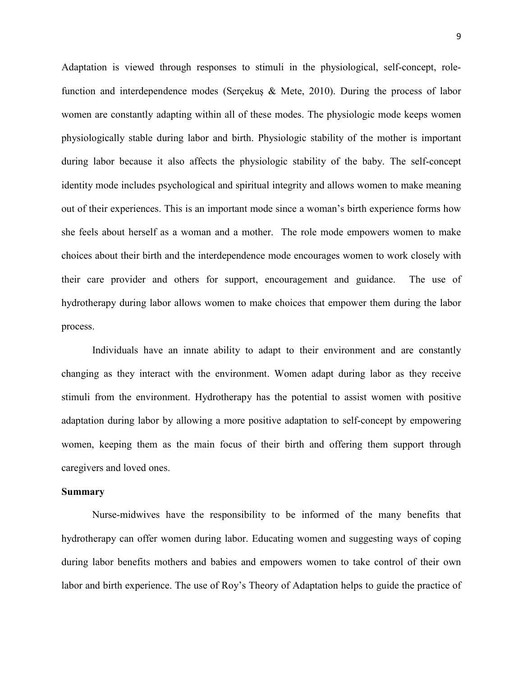Adaptation is viewed through responses to stimuli in the physiological, self-concept, rolefunction and interdependence modes (Serçekuş & Mete, 2010). During the process of labor women are constantly adapting within all of these modes. The physiologic mode keeps women physiologically stable during labor and birth. Physiologic stability of the mother is important during labor because it also affects the physiologic stability of the baby. The self-concept identity mode includes psychological and spiritual integrity and allows women to make meaning out of their experiences. This is an important mode since a woman's birth experience forms how she feels about herself as a woman and a mother. The role mode empowers women to make choices about their birth and the interdependence mode encourages women to work closely with their care provider and others for support, encouragement and guidance. The use of hydrotherapy during labor allows women to make choices that empower them during the labor process.

Individuals have an innate ability to adapt to their environment and are constantly changing as they interact with the environment. Women adapt during labor as they receive stimuli from the environment. Hydrotherapy has the potential to assist women with positive adaptation during labor by allowing a more positive adaptation to self-concept by empowering women, keeping them as the main focus of their birth and offering them support through caregivers and loved ones.

#### **Summary**

Nurse-midwives have the responsibility to be informed of the many benefits that hydrotherapy can offer women during labor. Educating women and suggesting ways of coping during labor benefits mothers and babies and empowers women to take control of their own labor and birth experience. The use of Roy's Theory of Adaptation helps to guide the practice of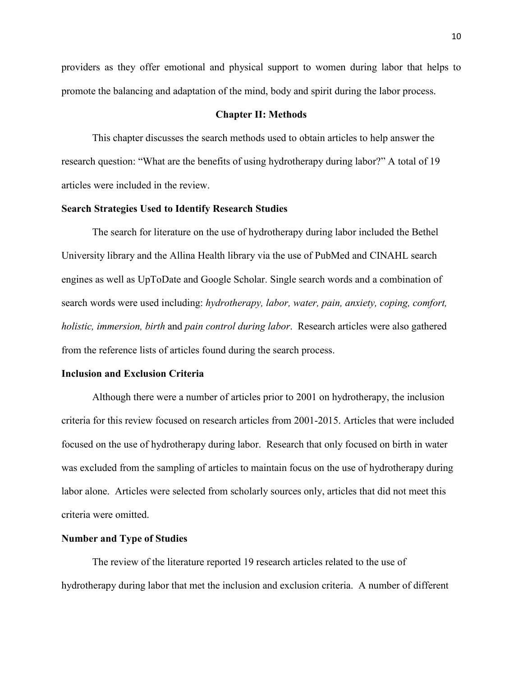providers as they offer emotional and physical support to women during labor that helps to promote the balancing and adaptation of the mind, body and spirit during the labor process.

#### **Chapter II: Methods**

This chapter discusses the search methods used to obtain articles to help answer the research question: "What are the benefits of using hydrotherapy during labor?" A total of 19 articles were included in the review.

#### **Search Strategies Used to Identify Research Studies**

The search for literature on the use of hydrotherapy during labor included the Bethel University library and the Allina Health library via the use of PubMed and CINAHL search engines as well as UpToDate and Google Scholar. Single search words and a combination of search words were used including: *hydrotherapy, labor, water, pain, anxiety, coping, comfort, holistic, immersion, birth* and *pain control during labor*. Research articles were also gathered from the reference lists of articles found during the search process.

#### **Inclusion and Exclusion Criteria**

Although there were a number of articles prior to 2001 on hydrotherapy, the inclusion criteria for this review focused on research articles from 2001-2015. Articles that were included focused on the use of hydrotherapy during labor. Research that only focused on birth in water was excluded from the sampling of articles to maintain focus on the use of hydrotherapy during labor alone. Articles were selected from scholarly sources only, articles that did not meet this criteria were omitted.

#### **Number and Type of Studies**

The review of the literature reported 19 research articles related to the use of hydrotherapy during labor that met the inclusion and exclusion criteria. A number of different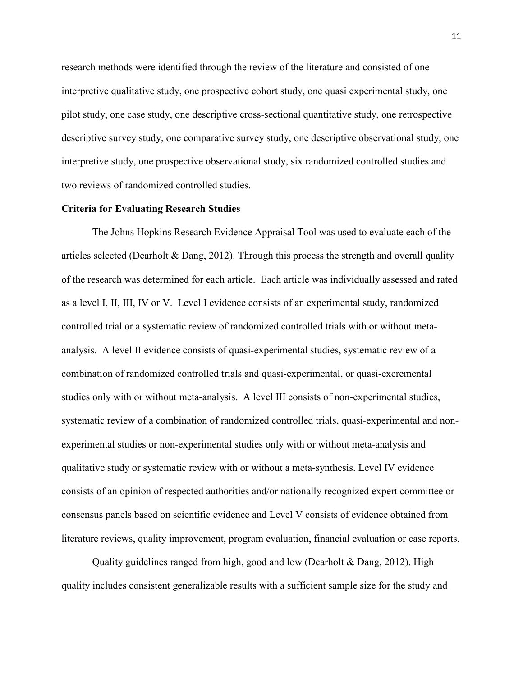research methods were identified through the review of the literature and consisted of one interpretive qualitative study, one prospective cohort study, one quasi experimental study, one pilot study, one case study, one descriptive cross-sectional quantitative study, one retrospective descriptive survey study, one comparative survey study, one descriptive observational study, one interpretive study, one prospective observational study, six randomized controlled studies and two reviews of randomized controlled studies.

#### **Criteria for Evaluating Research Studies**

The Johns Hopkins Research Evidence Appraisal Tool was used to evaluate each of the articles selected (Dearholt & Dang, 2012). Through this process the strength and overall quality of the research was determined for each article. Each article was individually assessed and rated as a level I, II, III, IV or V. Level I evidence consists of an experimental study, randomized controlled trial or a systematic review of randomized controlled trials with or without metaanalysis. A level II evidence consists of quasi-experimental studies, systematic review of a combination of randomized controlled trials and quasi-experimental, or quasi-excremental studies only with or without meta-analysis. A level III consists of non-experimental studies, systematic review of a combination of randomized controlled trials, quasi-experimental and nonexperimental studies or non-experimental studies only with or without meta-analysis and qualitative study or systematic review with or without a meta-synthesis. Level IV evidence consists of an opinion of respected authorities and/or nationally recognized expert committee or consensus panels based on scientific evidence and Level V consists of evidence obtained from literature reviews, quality improvement, program evaluation, financial evaluation or case reports.

Quality guidelines ranged from high, good and low (Dearholt & Dang, 2012). High quality includes consistent generalizable results with a sufficient sample size for the study and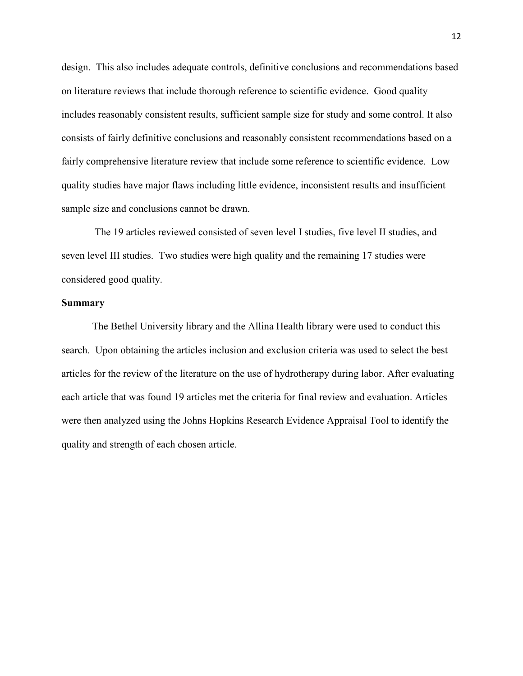design. This also includes adequate controls, definitive conclusions and recommendations based on literature reviews that include thorough reference to scientific evidence. Good quality includes reasonably consistent results, sufficient sample size for study and some control. It also consists of fairly definitive conclusions and reasonably consistent recommendations based on a fairly comprehensive literature review that include some reference to scientific evidence. Low quality studies have major flaws including little evidence, inconsistent results and insufficient sample size and conclusions cannot be drawn.

The 19 articles reviewed consisted of seven level I studies, five level II studies, and seven level III studies. Two studies were high quality and the remaining 17 studies were considered good quality.

#### **Summary**

The Bethel University library and the Allina Health library were used to conduct this search. Upon obtaining the articles inclusion and exclusion criteria was used to select the best articles for the review of the literature on the use of hydrotherapy during labor. After evaluating each article that was found 19 articles met the criteria for final review and evaluation. Articles were then analyzed using the Johns Hopkins Research Evidence Appraisal Tool to identify the quality and strength of each chosen article.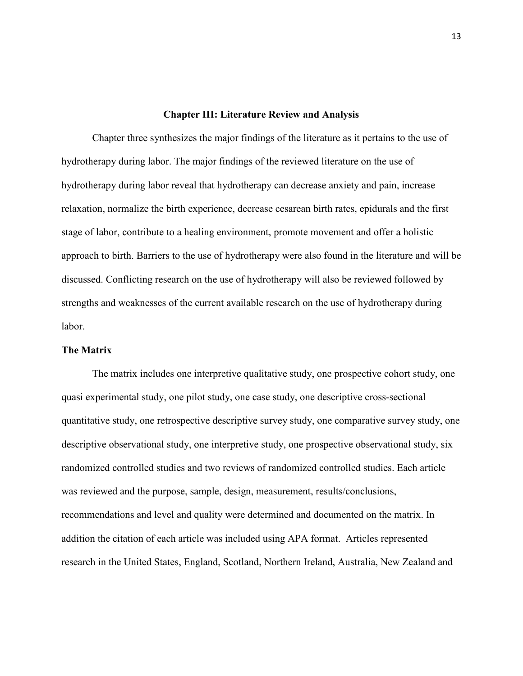#### **Chapter III: Literature Review and Analysis**

Chapter three synthesizes the major findings of the literature as it pertains to the use of hydrotherapy during labor. The major findings of the reviewed literature on the use of hydrotherapy during labor reveal that hydrotherapy can decrease anxiety and pain, increase relaxation, normalize the birth experience, decrease cesarean birth rates, epidurals and the first stage of labor, contribute to a healing environment, promote movement and offer a holistic approach to birth. Barriers to the use of hydrotherapy were also found in the literature and will be discussed. Conflicting research on the use of hydrotherapy will also be reviewed followed by strengths and weaknesses of the current available research on the use of hydrotherapy during labor.

#### **The Matrix**

The matrix includes one interpretive qualitative study, one prospective cohort study, one quasi experimental study, one pilot study, one case study, one descriptive cross-sectional quantitative study, one retrospective descriptive survey study, one comparative survey study, one descriptive observational study, one interpretive study, one prospective observational study, six randomized controlled studies and two reviews of randomized controlled studies. Each article was reviewed and the purpose, sample, design, measurement, results/conclusions, recommendations and level and quality were determined and documented on the matrix. In addition the citation of each article was included using APA format. Articles represented research in the United States, England, Scotland, Northern Ireland, Australia, New Zealand and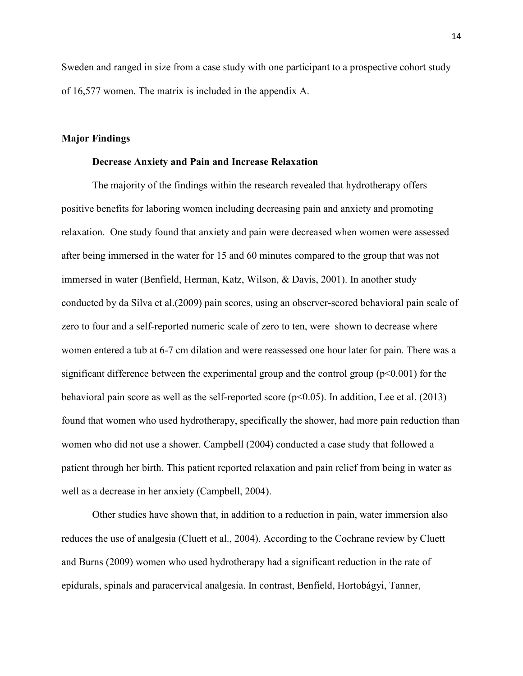Sweden and ranged in size from a case study with one participant to a prospective cohort study of 16,577 women. The matrix is included in the appendix A.

#### **Major Findings**

#### **Decrease Anxiety and Pain and Increase Relaxation**

The majority of the findings within the research revealed that hydrotherapy offers positive benefits for laboring women including decreasing pain and anxiety and promoting relaxation. One study found that anxiety and pain were decreased when women were assessed after being immersed in the water for 15 and 60 minutes compared to the group that was not immersed in water (Benfield, Herman, Katz, Wilson, & Davis, 2001). In another study conducted by da Silva et al.(2009) pain scores, using an observer-scored behavioral pain scale of zero to four and a self-reported numeric scale of zero to ten, were shown to decrease where women entered a tub at 6-7 cm dilation and were reassessed one hour later for pain. There was a significant difference between the experimental group and the control group  $(p<0.001)$  for the behavioral pain score as well as the self-reported score  $(p<0.05)$ . In addition, Lee et al. (2013) found that women who used hydrotherapy, specifically the shower, had more pain reduction than women who did not use a shower. Campbell (2004) conducted a case study that followed a patient through her birth. This patient reported relaxation and pain relief from being in water as well as a decrease in her anxiety (Campbell, 2004).

Other studies have shown that, in addition to a reduction in pain, water immersion also reduces the use of analgesia (Cluett et al., 2004). According to the Cochrane review by Cluett and Burns (2009) women who used hydrotherapy had a significant reduction in the rate of epidurals, spinals and paracervical analgesia. In contrast, Benfield, Hortobágyi, Tanner,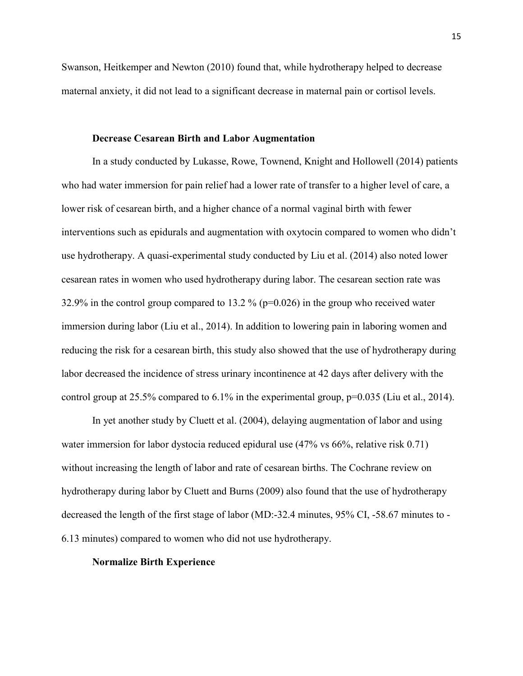Swanson, Heitkemper and Newton (2010) found that, while hydrotherapy helped to decrease maternal anxiety, it did not lead to a significant decrease in maternal pain or cortisol levels.

#### **Decrease Cesarean Birth and Labor Augmentation**

In a study conducted by Lukasse, Rowe, Townend, Knight and Hollowell (2014) patients who had water immersion for pain relief had a lower rate of transfer to a higher level of care, a lower risk of cesarean birth, and a higher chance of a normal vaginal birth with fewer interventions such as epidurals and augmentation with oxytocin compared to women who didn't use hydrotherapy. A quasi-experimental study conducted by Liu et al. (2014) also noted lower cesarean rates in women who used hydrotherapy during labor. The cesarean section rate was 32.9% in the control group compared to 13.2 % (p=0.026) in the group who received water immersion during labor (Liu et al., 2014). In addition to lowering pain in laboring women and reducing the risk for a cesarean birth, this study also showed that the use of hydrotherapy during labor decreased the incidence of stress urinary incontinence at 42 days after delivery with the control group at 25.5% compared to  $6.1\%$  in the experimental group,  $p=0.035$  (Liu et al., 2014).

In yet another study by Cluett et al. (2004), delaying augmentation of labor and using water immersion for labor dystocia reduced epidural use  $(47\% \text{ vs } 66\% ,$  relative risk 0.71) without increasing the length of labor and rate of cesarean births. The Cochrane review on hydrotherapy during labor by Cluett and Burns (2009) also found that the use of hydrotherapy decreased the length of the first stage of labor (MD:-32.4 minutes, 95% CI, -58.67 minutes to - 6.13 minutes) compared to women who did not use hydrotherapy.

#### **Normalize Birth Experience**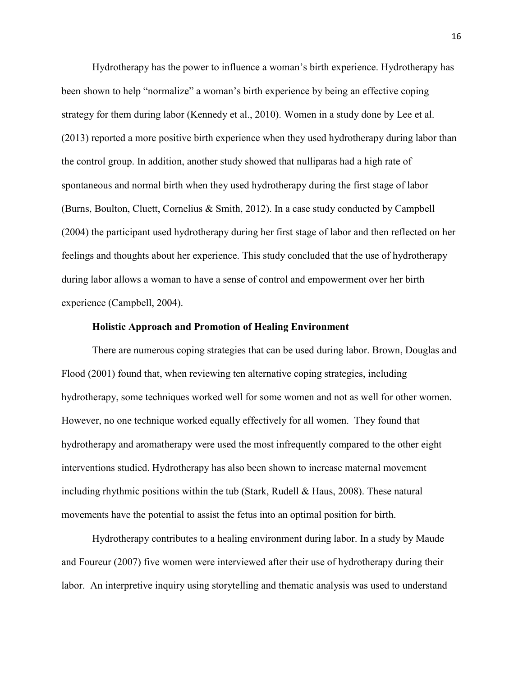Hydrotherapy has the power to influence a woman's birth experience. Hydrotherapy has been shown to help "normalize" a woman's birth experience by being an effective coping strategy for them during labor (Kennedy et al., 2010). Women in a study done by Lee et al. (2013) reported a more positive birth experience when they used hydrotherapy during labor than the control group. In addition, another study showed that nulliparas had a high rate of spontaneous and normal birth when they used hydrotherapy during the first stage of labor (Burns, Boulton, Cluett, Cornelius & Smith, 2012). In a case study conducted by Campbell (2004) the participant used hydrotherapy during her first stage of labor and then reflected on her feelings and thoughts about her experience. This study concluded that the use of hydrotherapy during labor allows a woman to have a sense of control and empowerment over her birth experience (Campbell, 2004).

#### **Holistic Approach and Promotion of Healing Environment**

There are numerous coping strategies that can be used during labor. Brown, Douglas and Flood (2001) found that, when reviewing ten alternative coping strategies, including hydrotherapy, some techniques worked well for some women and not as well for other women. However, no one technique worked equally effectively for all women. They found that hydrotherapy and aromatherapy were used the most infrequently compared to the other eight interventions studied. Hydrotherapy has also been shown to increase maternal movement including rhythmic positions within the tub (Stark, Rudell  $\&$  Haus, 2008). These natural movements have the potential to assist the fetus into an optimal position for birth.

Hydrotherapy contributes to a healing environment during labor. In a study by Maude and Foureur (2007) five women were interviewed after their use of hydrotherapy during their labor. An interpretive inquiry using storytelling and thematic analysis was used to understand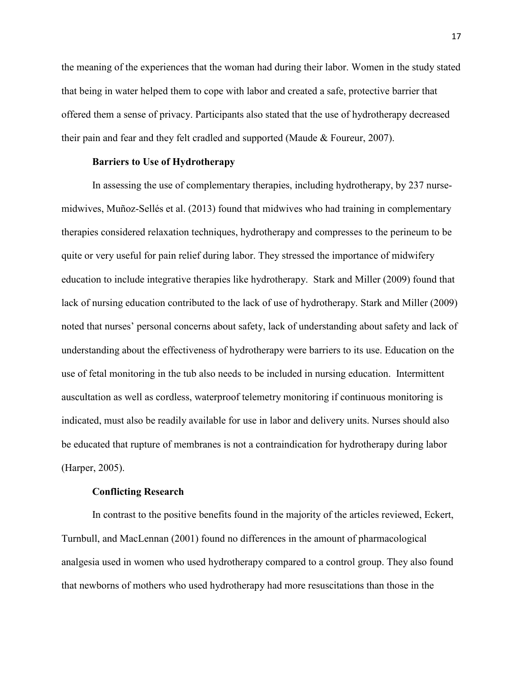the meaning of the experiences that the woman had during their labor. Women in the study stated that being in water helped them to cope with labor and created a safe, protective barrier that offered them a sense of privacy. Participants also stated that the use of hydrotherapy decreased their pain and fear and they felt cradled and supported (Maude & Foureur, 2007).

#### **Barriers to Use of Hydrotherapy**

In assessing the use of complementary therapies, including hydrotherapy, by 237 nursemidwives, Muñoz-Sellés et al. (2013) found that midwives who had training in complementary therapies considered relaxation techniques, hydrotherapy and compresses to the perineum to be quite or very useful for pain relief during labor. They stressed the importance of midwifery education to include integrative therapies like hydrotherapy. Stark and Miller (2009) found that lack of nursing education contributed to the lack of use of hydrotherapy. Stark and Miller (2009) noted that nurses' personal concerns about safety, lack of understanding about safety and lack of understanding about the effectiveness of hydrotherapy were barriers to its use. Education on the use of fetal monitoring in the tub also needs to be included in nursing education. Intermittent auscultation as well as cordless, waterproof telemetry monitoring if continuous monitoring is indicated, must also be readily available for use in labor and delivery units. Nurses should also be educated that rupture of membranes is not a contraindication for hydrotherapy during labor (Harper, 2005).

#### **Conflicting Research**

In contrast to the positive benefits found in the majority of the articles reviewed, Eckert, Turnbull, and MacLennan (2001) found no differences in the amount of pharmacological analgesia used in women who used hydrotherapy compared to a control group. They also found that newborns of mothers who used hydrotherapy had more resuscitations than those in the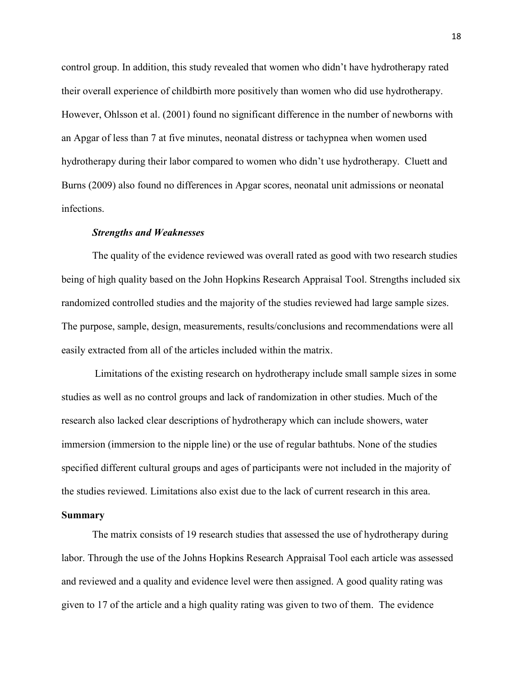control group. In addition, this study revealed that women who didn't have hydrotherapy rated their overall experience of childbirth more positively than women who did use hydrotherapy. However, Ohlsson et al. (2001) found no significant difference in the number of newborns with an Apgar of less than 7 at five minutes, neonatal distress or tachypnea when women used hydrotherapy during their labor compared to women who didn't use hydrotherapy. Cluett and Burns (2009) also found no differences in Apgar scores, neonatal unit admissions or neonatal infections.

#### *Strengths and Weaknesses*

The quality of the evidence reviewed was overall rated as good with two research studies being of high quality based on the John Hopkins Research Appraisal Tool. Strengths included six randomized controlled studies and the majority of the studies reviewed had large sample sizes. The purpose, sample, design, measurements, results/conclusions and recommendations were all easily extracted from all of the articles included within the matrix.

Limitations of the existing research on hydrotherapy include small sample sizes in some studies as well as no control groups and lack of randomization in other studies. Much of the research also lacked clear descriptions of hydrotherapy which can include showers, water immersion (immersion to the nipple line) or the use of regular bathtubs. None of the studies specified different cultural groups and ages of participants were not included in the majority of the studies reviewed. Limitations also exist due to the lack of current research in this area.

#### **Summary**

The matrix consists of 19 research studies that assessed the use of hydrotherapy during labor. Through the use of the Johns Hopkins Research Appraisal Tool each article was assessed and reviewed and a quality and evidence level were then assigned. A good quality rating was given to 17 of the article and a high quality rating was given to two of them. The evidence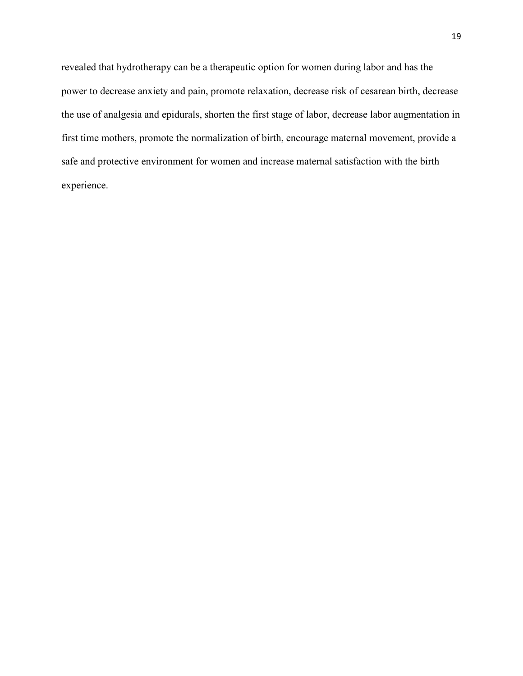revealed that hydrotherapy can be a therapeutic option for women during labor and has the power to decrease anxiety and pain, promote relaxation, decrease risk of cesarean birth, decrease the use of analgesia and epidurals, shorten the first stage of labor, decrease labor augmentation in first time mothers, promote the normalization of birth, encourage maternal movement, provide a safe and protective environment for women and increase maternal satisfaction with the birth experience.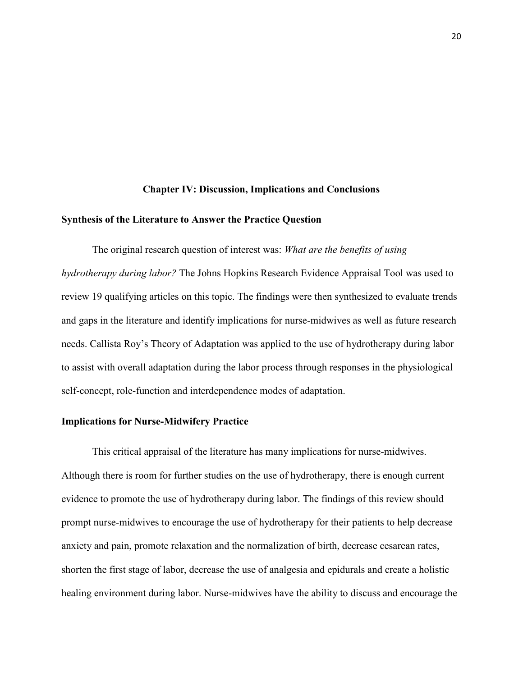#### **Chapter IV: Discussion, Implications and Conclusions**

#### **Synthesis of the Literature to Answer the Practice Question**

 The original research question of interest was: *What are the benefits of using hydrotherapy during labor?* The Johns Hopkins Research Evidence Appraisal Tool was used to review 19 qualifying articles on this topic. The findings were then synthesized to evaluate trends and gaps in the literature and identify implications for nurse-midwives as well as future research needs. Callista Roy's Theory of Adaptation was applied to the use of hydrotherapy during labor to assist with overall adaptation during the labor process through responses in the physiological self-concept, role-function and interdependence modes of adaptation.

#### **Implications for Nurse-Midwifery Practice**

This critical appraisal of the literature has many implications for nurse-midwives. Although there is room for further studies on the use of hydrotherapy, there is enough current evidence to promote the use of hydrotherapy during labor. The findings of this review should prompt nurse-midwives to encourage the use of hydrotherapy for their patients to help decrease anxiety and pain, promote relaxation and the normalization of birth, decrease cesarean rates, shorten the first stage of labor, decrease the use of analgesia and epidurals and create a holistic healing environment during labor. Nurse-midwives have the ability to discuss and encourage the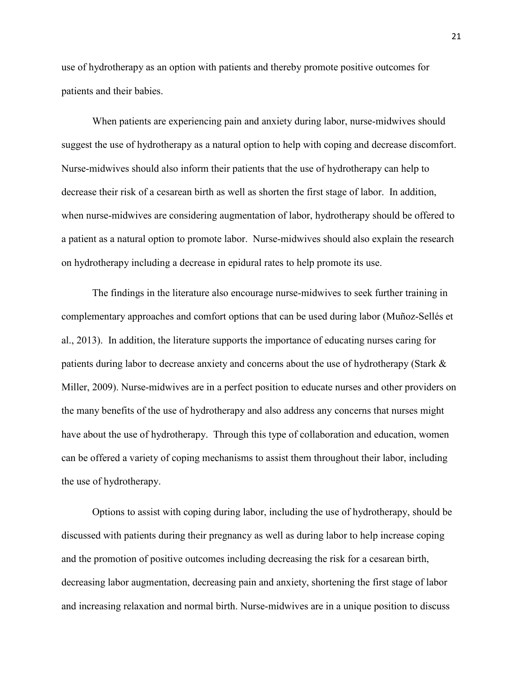use of hydrotherapy as an option with patients and thereby promote positive outcomes for patients and their babies.

 When patients are experiencing pain and anxiety during labor, nurse-midwives should suggest the use of hydrotherapy as a natural option to help with coping and decrease discomfort. Nurse-midwives should also inform their patients that the use of hydrotherapy can help to decrease their risk of a cesarean birth as well as shorten the first stage of labor. In addition, when nurse-midwives are considering augmentation of labor, hydrotherapy should be offered to a patient as a natural option to promote labor. Nurse-midwives should also explain the research on hydrotherapy including a decrease in epidural rates to help promote its use.

The findings in the literature also encourage nurse-midwives to seek further training in complementary approaches and comfort options that can be used during labor (Muñoz-Sellés et al., 2013). In addition, the literature supports the importance of educating nurses caring for patients during labor to decrease anxiety and concerns about the use of hydrotherapy (Stark & Miller, 2009). Nurse-midwives are in a perfect position to educate nurses and other providers on the many benefits of the use of hydrotherapy and also address any concerns that nurses might have about the use of hydrotherapy. Through this type of collaboration and education, women can be offered a variety of coping mechanisms to assist them throughout their labor, including the use of hydrotherapy.

Options to assist with coping during labor, including the use of hydrotherapy, should be discussed with patients during their pregnancy as well as during labor to help increase coping and the promotion of positive outcomes including decreasing the risk for a cesarean birth, decreasing labor augmentation, decreasing pain and anxiety, shortening the first stage of labor and increasing relaxation and normal birth. Nurse-midwives are in a unique position to discuss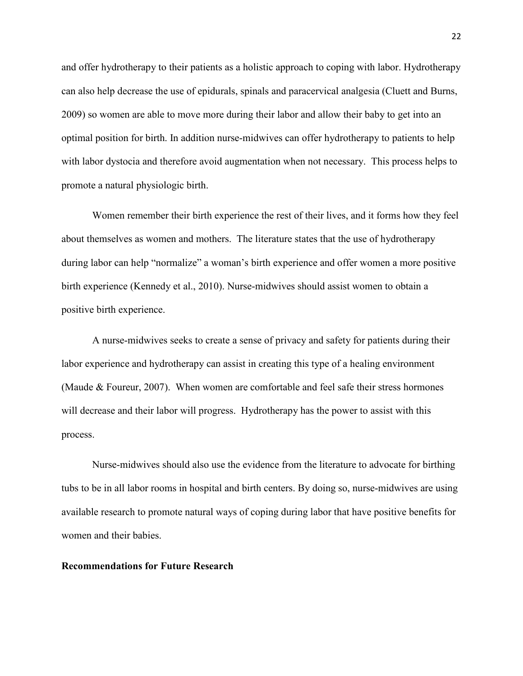and offer hydrotherapy to their patients as a holistic approach to coping with labor. Hydrotherapy can also help decrease the use of epidurals, spinals and paracervical analgesia (Cluett and Burns, 2009) so women are able to move more during their labor and allow their baby to get into an optimal position for birth. In addition nurse-midwives can offer hydrotherapy to patients to help with labor dystocia and therefore avoid augmentation when not necessary. This process helps to promote a natural physiologic birth.

Women remember their birth experience the rest of their lives, and it forms how they feel about themselves as women and mothers. The literature states that the use of hydrotherapy during labor can help "normalize" a woman's birth experience and offer women a more positive birth experience (Kennedy et al., 2010). Nurse-midwives should assist women to obtain a positive birth experience.

A nurse-midwives seeks to create a sense of privacy and safety for patients during their labor experience and hydrotherapy can assist in creating this type of a healing environment (Maude & Foureur, 2007). When women are comfortable and feel safe their stress hormones will decrease and their labor will progress. Hydrotherapy has the power to assist with this process.

Nurse-midwives should also use the evidence from the literature to advocate for birthing tubs to be in all labor rooms in hospital and birth centers. By doing so, nurse-midwives are using available research to promote natural ways of coping during labor that have positive benefits for women and their babies.

#### **Recommendations for Future Research**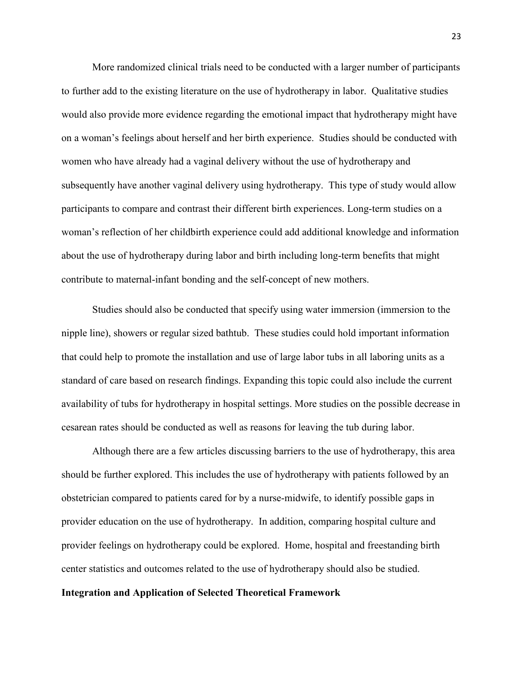More randomized clinical trials need to be conducted with a larger number of participants to further add to the existing literature on the use of hydrotherapy in labor. Qualitative studies would also provide more evidence regarding the emotional impact that hydrotherapy might have on a woman's feelings about herself and her birth experience. Studies should be conducted with women who have already had a vaginal delivery without the use of hydrotherapy and subsequently have another vaginal delivery using hydrotherapy. This type of study would allow participants to compare and contrast their different birth experiences. Long-term studies on a woman's reflection of her childbirth experience could add additional knowledge and information about the use of hydrotherapy during labor and birth including long-term benefits that might contribute to maternal-infant bonding and the self-concept of new mothers.

Studies should also be conducted that specify using water immersion (immersion to the nipple line), showers or regular sized bathtub. These studies could hold important information that could help to promote the installation and use of large labor tubs in all laboring units as a standard of care based on research findings. Expanding this topic could also include the current availability of tubs for hydrotherapy in hospital settings. More studies on the possible decrease in cesarean rates should be conducted as well as reasons for leaving the tub during labor.

Although there are a few articles discussing barriers to the use of hydrotherapy, this area should be further explored. This includes the use of hydrotherapy with patients followed by an obstetrician compared to patients cared for by a nurse-midwife, to identify possible gaps in provider education on the use of hydrotherapy. In addition, comparing hospital culture and provider feelings on hydrotherapy could be explored. Home, hospital and freestanding birth center statistics and outcomes related to the use of hydrotherapy should also be studied.

#### **Integration and Application of Selected Theoretical Framework**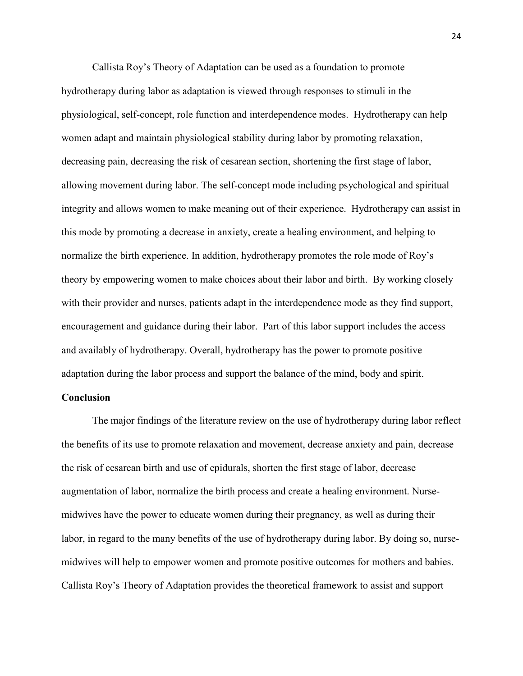Callista Roy's Theory of Adaptation can be used as a foundation to promote hydrotherapy during labor as adaptation is viewed through responses to stimuli in the physiological, self-concept, role function and interdependence modes. Hydrotherapy can help women adapt and maintain physiological stability during labor by promoting relaxation, decreasing pain, decreasing the risk of cesarean section, shortening the first stage of labor, allowing movement during labor. The self-concept mode including psychological and spiritual integrity and allows women to make meaning out of their experience. Hydrotherapy can assist in this mode by promoting a decrease in anxiety, create a healing environment, and helping to normalize the birth experience. In addition, hydrotherapy promotes the role mode of Roy's theory by empowering women to make choices about their labor and birth. By working closely with their provider and nurses, patients adapt in the interdependence mode as they find support, encouragement and guidance during their labor. Part of this labor support includes the access and availably of hydrotherapy. Overall, hydrotherapy has the power to promote positive adaptation during the labor process and support the balance of the mind, body and spirit.

#### **Conclusion**

 The major findings of the literature review on the use of hydrotherapy during labor reflect the benefits of its use to promote relaxation and movement, decrease anxiety and pain, decrease the risk of cesarean birth and use of epidurals, shorten the first stage of labor, decrease augmentation of labor, normalize the birth process and create a healing environment. Nursemidwives have the power to educate women during their pregnancy, as well as during their labor, in regard to the many benefits of the use of hydrotherapy during labor. By doing so, nursemidwives will help to empower women and promote positive outcomes for mothers and babies. Callista Roy's Theory of Adaptation provides the theoretical framework to assist and support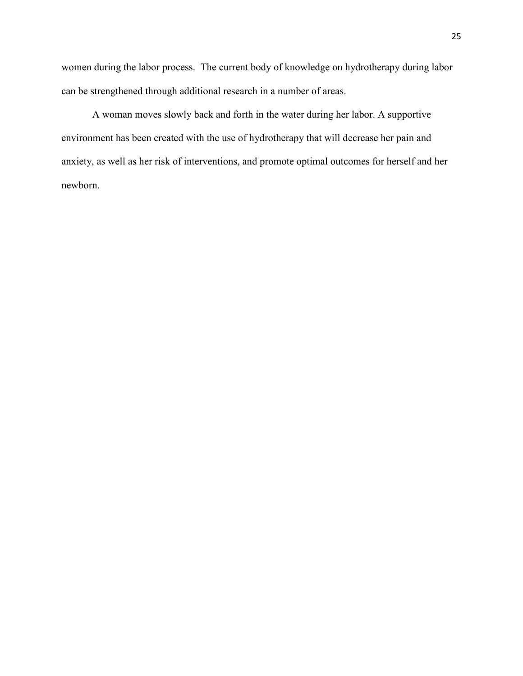women during the labor process. The current body of knowledge on hydrotherapy during labor can be strengthened through additional research in a number of areas.

 A woman moves slowly back and forth in the water during her labor. A supportive environment has been created with the use of hydrotherapy that will decrease her pain and anxiety, as well as her risk of interventions, and promote optimal outcomes for herself and her newborn.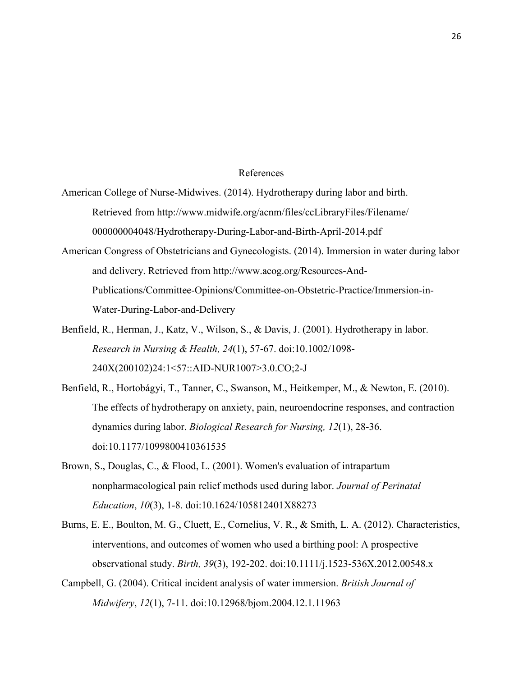#### References

- American College of Nurse-Midwives. (2014). Hydrotherapy during labor and birth. Retrieved from http://www.midwife.org/acnm/files/ccLibraryFiles/Filename/ [000000004048/Hydrotherapy](http://www.midwife.org/acnm/files/ccLibraryFiles/Filename/000000004048/Hydrotherap)-During-Labor-and-Birth-April-2014.pdf
- American Congress of Obstetricians and Gynecologists. (2014). Immersion in water during labor and delivery. Retrieved from<http://www.acog.org/Resources-And->Publications/Committee-Opinions/Committee-on-Obstetric-Practice/Immersion-in-Water-During-Labor-and-Delivery
- Benfield, R., Herman, J., Katz, V., Wilson, S., & Davis, J. (2001). Hydrotherapy in labor. *Research in Nursing & Health, 24*(1), 57-67. doi:10.1002/1098- 240X(200102)24:1<57::AID-NUR1007>3.0.CO;2-J
- Benfield, R., Hortobágyi, T., Tanner, C., Swanson, M., Heitkemper, M., & Newton, E. (2010). The effects of hydrotherapy on anxiety, pain, neuroendocrine responses, and contraction dynamics during labor. *Biological Research for Nursing, 12*(1), 28-36. doi:10.1177/1099800410361535
- Brown, S., Douglas, C., & Flood, L. (2001). Women's evaluation of intrapartum nonpharmacological pain relief methods used during labor. *Journal of Perinatal Education*, *10*(3), 1-8. doi:10.1624/105812401X88273
- Burns, E. E., Boulton, M. G., Cluett, E., Cornelius, V. R., & Smith, L. A. (2012). Characteristics, interventions, and outcomes of women who used a birthing pool: A prospective observational study. *Birth, 39*(3), 192-202. doi:10.1111/j.1523-536X.2012.00548.x
- Campbell, G. (2004). Critical incident analysis of water immersion. *British Journal of Midwifery*, *12*(1), 7-11. doi:10.12968/bjom.2004.12.1.11963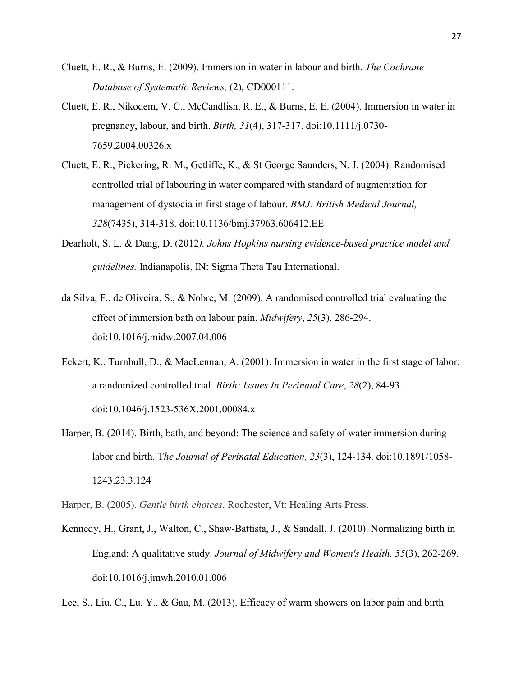- Cluett, E. R., & Burns, E. (2009). Immersion in water in labour and birth. *The Cochrane Database of Systematic Reviews,* (2), CD000111.
- Cluett, E. R., Nikodem, V. C., McCandlish, R. E., & Burns, E. E. (2004). Immersion in water in pregnancy, labour, and birth. *Birth, 31*(4), 317-317. doi:10.1111/j.0730- 7659.2004.00326.x
- Cluett, E. R., Pickering, R. M., Getliffe, K., & St George Saunders, N. J. (2004). Randomised controlled trial of labouring in water compared with standard of augmentation for management of dystocia in first stage of labour. *BMJ: British Medical Journal, 328*(7435), 314-318. doi:10.1136/bmj.37963.606412.EE
- Dearholt, S. L. & Dang, D. (2012*). Johns Hopkins nursing evidence-based practice model and guidelines.* Indianapolis, IN: Sigma Theta Tau International.
- da Silva, F., de Oliveira, S., & Nobre, M. (2009). A randomised controlled trial evaluating the effect of immersion bath on labour pain. *Midwifery*, *25*(3), 286-294. doi:10.1016/j.midw.2007.04.006
- Eckert, K., Turnbull, D., & MacLennan, A. (2001). Immersion in water in the first stage of labor: a randomized controlled trial. *Birth: Issues In Perinatal Care*, *28*(2), 84-93. doi:10.1046/j.1523-536X.2001.00084.x
- Harper, B. (2014). Birth, bath, and beyond: The science and safety of water immersion during labor and birth. T*he Journal of Perinatal Education, 23*(3), 124-134. doi:10.1891/1058- 1243.23.3.124

Harper, B. (2005). *Gentle birth choices*. Rochester, Vt: Healing Arts Press.

Kennedy, H., Grant, J., Walton, C., Shaw-Battista, J., & Sandall, J. (2010). Normalizing birth in England: A qualitative study. *Journal of Midwifery and Women's Health, 55*(3), 262-269. doi:10.1016/j.jmwh.2010.01.006

Lee, S., Liu, C., Lu, Y., & Gau, M. (2013). Efficacy of warm showers on labor pain and birth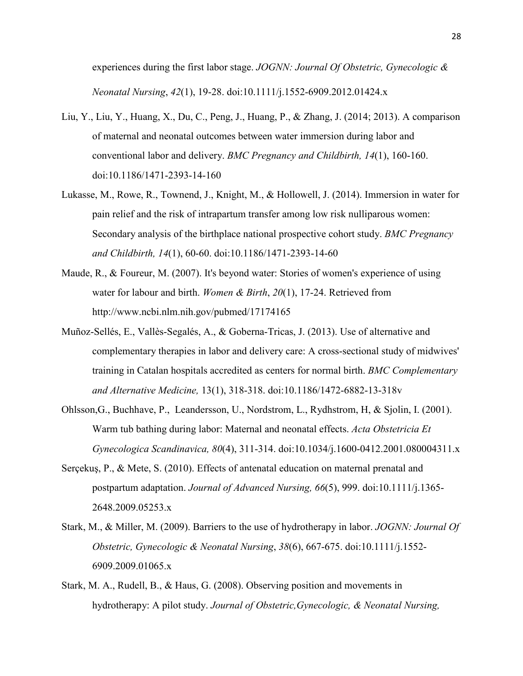experiences during the first labor stage. *JOGNN: Journal Of Obstetric, Gynecologic & Neonatal Nursing*, *42*(1), 19-28. doi:10.1111/j.1552-6909.2012.01424.x

- Liu, Y., Liu, Y., Huang, X., Du, C., Peng, J., Huang, P., & Zhang, J. (2014; 2013). A comparison of maternal and neonatal outcomes between water immersion during labor and conventional labor and delivery. *BMC Pregnancy and Childbirth, 14*(1), 160-160. doi:10.1186/1471-2393-14-160
- Lukasse, M., Rowe, R., Townend, J., Knight, M., & Hollowell, J. (2014). Immersion in water for pain relief and the risk of intrapartum transfer among low risk nulliparous women: Secondary analysis of the birthplace national prospective cohort study. *BMC Pregnancy and Childbirth, 14*(1), 60-60. doi:10.1186/1471-2393-14-60
- Maude, R., & Foureur, M. (2007). It's beyond water: Stories of women's experience of using water for labour and birth. *Women & Birth*, *20*(1), 17-24. Retrieved from http://www.ncbi.nlm.nih.gov/pubmed/17174165
- Muñoz-Sellés, E., Vallès-Segalés, A., & Goberna-Tricas, J. (2013). Use of alternative and complementary therapies in labor and delivery care: A cross-sectional study of midwives' training in Catalan hospitals accredited as centers for normal birth. *BMC Complementary and Alternative Medicine,* 13(1), 318-318. doi:10.1186/1472-6882-13-318v
- Ohlsson,G., Buchhave, P., Leandersson, U., Nordstrom, L., Rydhstrom, H, & Sjolin, I. (2001). Warm tub bathing during labor: Maternal and neonatal effects. *Acta Obstetricia Et Gynecologica Scandinavica, 80*(4), 311-314. doi:10.1034/j.1600-0412.2001.080004311.x
- Serçekuş, P., & Mete, S. (2010). Effects of antenatal education on maternal prenatal and postpartum adaptation. *Journal of Advanced Nursing, 66*(5), 999. doi:10.1111/j.1365- 2648.2009.05253.x
- Stark, M., & Miller, M. (2009). Barriers to the use of hydrotherapy in labor. *JOGNN: Journal Of Obstetric, Gynecologic & Neonatal Nursing*, *38*(6), 667-675. doi:10.1111/j.1552- 6909.2009.01065.x
- Stark, M. A., Rudell, B., & Haus, G. (2008). Observing position and movements in hydrotherapy: A pilot study. *Journal of Obstetric,Gynecologic, & Neonatal Nursing,*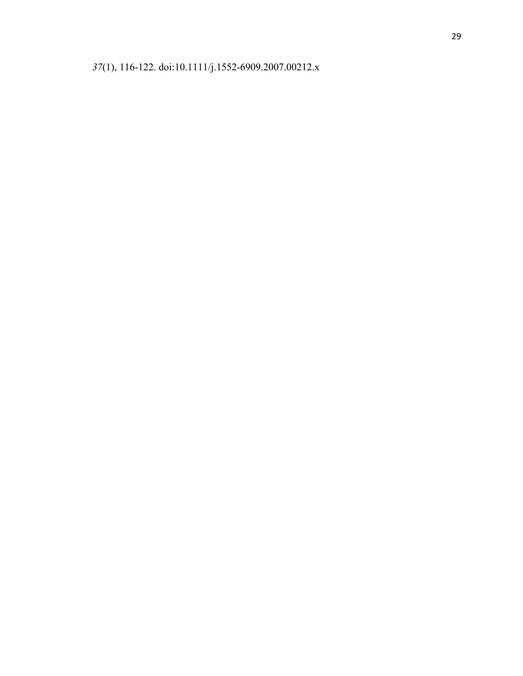(1), 116-122. doi:10.1111/j.1552-6909.2007.00212.x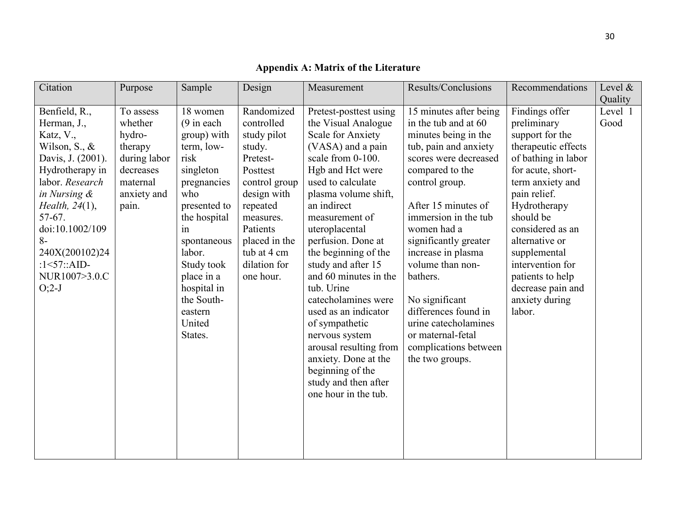| Citation                                                                                                                                                                                                                                                           | Purpose                                                                                                    | Sample                                                                                                                                                                                                                                                   | Design                                                                                                                                                                                                      | Measurement                                                                                                                                                                                                                                                                                                                                                                                                                                                                                                                                          | Results/Conclusions                                                                                                                                                                                                                                                                                                                                                                                                                           | Recommendations                                                                                                                                                                                                                                                                                                                     | Level $\&$<br>Quality |
|--------------------------------------------------------------------------------------------------------------------------------------------------------------------------------------------------------------------------------------------------------------------|------------------------------------------------------------------------------------------------------------|----------------------------------------------------------------------------------------------------------------------------------------------------------------------------------------------------------------------------------------------------------|-------------------------------------------------------------------------------------------------------------------------------------------------------------------------------------------------------------|------------------------------------------------------------------------------------------------------------------------------------------------------------------------------------------------------------------------------------------------------------------------------------------------------------------------------------------------------------------------------------------------------------------------------------------------------------------------------------------------------------------------------------------------------|-----------------------------------------------------------------------------------------------------------------------------------------------------------------------------------------------------------------------------------------------------------------------------------------------------------------------------------------------------------------------------------------------------------------------------------------------|-------------------------------------------------------------------------------------------------------------------------------------------------------------------------------------------------------------------------------------------------------------------------------------------------------------------------------------|-----------------------|
| Benfield, R.,<br>Herman, J.,<br>Katz, V.,<br>Wilson, S., $\&$<br>Davis, J. (2001).<br>Hydrotherapy in<br>labor. Research<br>in Nursing &<br>Health, 24(1),<br>57-67.<br>doi:10.1002/109<br>$8-$<br>240X(200102)24<br>: $1 < 57$ ::AID-<br>NUR1007>3.0.C<br>$O;2-J$ | To assess<br>whether<br>hydro-<br>therapy<br>during labor<br>decreases<br>maternal<br>anxiety and<br>pain. | 18 women<br>$(9$ in each<br>group) with<br>term, low-<br>risk<br>singleton<br>pregnancies<br>who<br>presented to<br>the hospital<br>in<br>spontaneous<br>labor.<br>Study took<br>place in a<br>hospital in<br>the South-<br>eastern<br>United<br>States. | Randomized<br>controlled<br>study pilot<br>study.<br>Pretest-<br>Posttest<br>control group<br>design with<br>repeated<br>measures.<br>Patients<br>placed in the<br>tub at 4 cm<br>dilation for<br>one hour. | Pretest-posttest using<br>the Visual Analogue<br>Scale for Anxiety<br>(VASA) and a pain<br>scale from 0-100.<br>Hgb and Hct were<br>used to calculate<br>plasma volume shift,<br>an indirect<br>measurement of<br>uteroplacental<br>perfusion. Done at<br>the beginning of the<br>study and after 15<br>and 60 minutes in the<br>tub. Urine<br>catecholamines were<br>used as an indicator<br>of sympathetic<br>nervous system<br>arousal resulting from<br>anxiety. Done at the<br>beginning of the<br>study and then after<br>one hour in the tub. | 15 minutes after being<br>in the tub and at 60<br>minutes being in the<br>tub, pain and anxiety<br>scores were decreased<br>compared to the<br>control group.<br>After 15 minutes of<br>immersion in the tub<br>women had a<br>significantly greater<br>increase in plasma<br>volume than non-<br>bathers.<br>No significant<br>differences found in<br>urine catecholamines<br>or maternal-fetal<br>complications between<br>the two groups. | Findings offer<br>preliminary<br>support for the<br>therapeutic effects<br>of bathing in labor<br>for acute, short-<br>term anxiety and<br>pain relief.<br>Hydrotherapy<br>should be<br>considered as an<br>alternative or<br>supplemental<br>intervention for<br>patients to help<br>decrease pain and<br>anxiety during<br>labor. | Level 1<br>Good       |

# **Appendix A: Matrix of the Literature**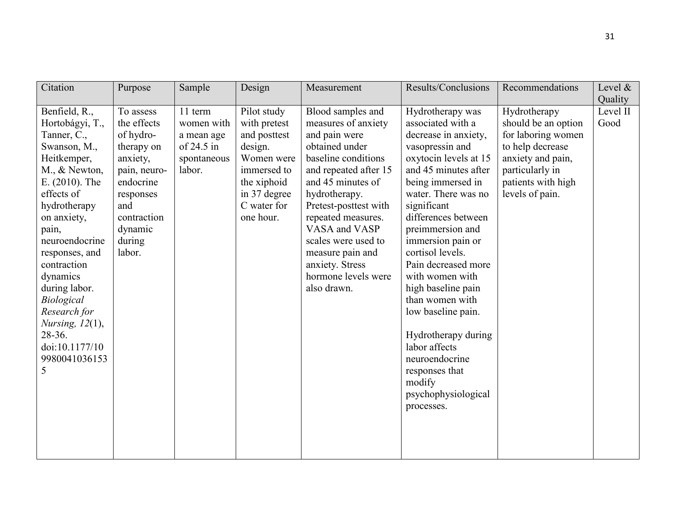| Citation                                                                                                                                                                                                                                                                                                                                                         | Purpose                                                                                                                                                        | Sample                                                                       | Design                                                                                                                                         | Measurement                                                                                                                                                                                                                                                                                                                           | Results/Conclusions                                                                                                                                                                                                                                                                                                                                                                                                                                                                                                  | Recommendations                                                                                                                                                | Level $\&$<br>Quality |
|------------------------------------------------------------------------------------------------------------------------------------------------------------------------------------------------------------------------------------------------------------------------------------------------------------------------------------------------------------------|----------------------------------------------------------------------------------------------------------------------------------------------------------------|------------------------------------------------------------------------------|------------------------------------------------------------------------------------------------------------------------------------------------|---------------------------------------------------------------------------------------------------------------------------------------------------------------------------------------------------------------------------------------------------------------------------------------------------------------------------------------|----------------------------------------------------------------------------------------------------------------------------------------------------------------------------------------------------------------------------------------------------------------------------------------------------------------------------------------------------------------------------------------------------------------------------------------------------------------------------------------------------------------------|----------------------------------------------------------------------------------------------------------------------------------------------------------------|-----------------------|
| Benfield, R.,<br>Hortobágyi, T.,<br>Tanner, C.,<br>Swanson, M.,<br>Heitkemper,<br>M., & Newton,<br>$E. (2010)$ . The<br>effects of<br>hydrotherapy<br>on anxiety,<br>pain,<br>neuroendocrine<br>responses, and<br>contraction<br>dynamics<br>during labor.<br>Biological<br>Research for<br>Nursing, $12(1)$ ,<br>28-36.<br>doi:10.1177/10<br>9980041036153<br>5 | To assess<br>the effects<br>of hydro-<br>therapy on<br>anxiety,<br>pain, neuro-<br>endocrine<br>responses<br>and<br>contraction<br>dynamic<br>during<br>labor. | 11 term<br>women with<br>a mean age<br>of $24.5$ in<br>spontaneous<br>labor. | Pilot study<br>with pretest<br>and posttest<br>design.<br>Women were<br>immersed to<br>the xiphoid<br>in 37 degree<br>C water for<br>one hour. | Blood samples and<br>measures of anxiety<br>and pain were<br>obtained under<br>baseline conditions<br>and repeated after 15<br>and 45 minutes of<br>hydrotherapy.<br>Pretest-posttest with<br>repeated measures.<br>VASA and VASP<br>scales were used to<br>measure pain and<br>anxiety. Stress<br>hormone levels were<br>also drawn. | Hydrotherapy was<br>associated with a<br>decrease in anxiety,<br>vasopressin and<br>oxytocin levels at 15<br>and 45 minutes after<br>being immersed in<br>water. There was no<br>significant<br>differences between<br>preimmersion and<br>immersion pain or<br>cortisol levels.<br>Pain decreased more<br>with women with<br>high baseline pain<br>than women with<br>low baseline pain.<br>Hydrotherapy during<br>labor affects<br>neuroendocrine<br>responses that<br>modify<br>psychophysiological<br>processes. | Hydrotherapy<br>should be an option<br>for laboring women<br>to help decrease<br>anxiety and pain,<br>particularly in<br>patients with high<br>levels of pain. | Level II<br>Good      |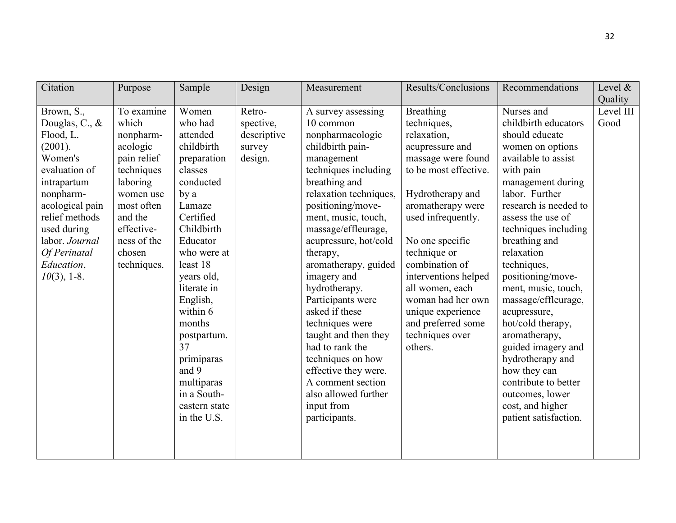| Citation                                                                                                                                                                                                                           | Purpose                                                                                                                                                                           | Sample                                                                                                                                                                                                                                                                                                                                        | Design                                                  | Measurement                                                                                                                                                                                                                                                                                                                                                                                                                                                                                                                                            | Results/Conclusions                                                                                                                                                                                                                                                                                                                                                           | Recommendations                                                                                                                                                                                                                                                                                                                                                                                                                                                                                                                                    | Level $\&$        |
|------------------------------------------------------------------------------------------------------------------------------------------------------------------------------------------------------------------------------------|-----------------------------------------------------------------------------------------------------------------------------------------------------------------------------------|-----------------------------------------------------------------------------------------------------------------------------------------------------------------------------------------------------------------------------------------------------------------------------------------------------------------------------------------------|---------------------------------------------------------|--------------------------------------------------------------------------------------------------------------------------------------------------------------------------------------------------------------------------------------------------------------------------------------------------------------------------------------------------------------------------------------------------------------------------------------------------------------------------------------------------------------------------------------------------------|-------------------------------------------------------------------------------------------------------------------------------------------------------------------------------------------------------------------------------------------------------------------------------------------------------------------------------------------------------------------------------|----------------------------------------------------------------------------------------------------------------------------------------------------------------------------------------------------------------------------------------------------------------------------------------------------------------------------------------------------------------------------------------------------------------------------------------------------------------------------------------------------------------------------------------------------|-------------------|
|                                                                                                                                                                                                                                    |                                                                                                                                                                                   |                                                                                                                                                                                                                                                                                                                                               |                                                         |                                                                                                                                                                                                                                                                                                                                                                                                                                                                                                                                                        |                                                                                                                                                                                                                                                                                                                                                                               |                                                                                                                                                                                                                                                                                                                                                                                                                                                                                                                                                    | Quality           |
| Brown, S.,<br>Douglas, C., &<br>Flood, L.<br>(2001).<br>Women's<br>evaluation of<br>intrapartum<br>nonpharm-<br>acological pain<br>relief methods<br>used during<br>labor. Journal<br>Of Perinatal<br>Education,<br>$10(3)$ , 1-8. | To examine<br>which<br>nonpharm-<br>acologic<br>pain relief<br>techniques<br>laboring<br>women use<br>most often<br>and the<br>effective-<br>ness of the<br>chosen<br>techniques. | Women<br>who had<br>attended<br>childbirth<br>preparation<br>classes<br>conducted<br>by a<br>Lamaze<br>Certified<br>Childbirth<br>Educator<br>who were at<br>least 18<br>years old,<br>literate in<br>English,<br>within 6<br>months<br>postpartum.<br>37<br>primiparas<br>and 9<br>multiparas<br>in a South-<br>eastern state<br>in the U.S. | Retro-<br>spective,<br>descriptive<br>survey<br>design. | A survey assessing<br>10 common<br>nonpharmacologic<br>childbirth pain-<br>management<br>techniques including<br>breathing and<br>relaxation techniques,<br>positioning/move-<br>ment, music, touch,<br>massage/effleurage,<br>acupressure, hot/cold<br>therapy,<br>aromatherapy, guided<br>imagery and<br>hydrotherapy.<br>Participants were<br>asked if these<br>techniques were<br>taught and then they<br>had to rank the<br>techniques on how<br>effective they were.<br>A comment section<br>also allowed further<br>input from<br>participants. | <b>Breathing</b><br>techniques,<br>relaxation,<br>acupressure and<br>massage were found<br>to be most effective.<br>Hydrotherapy and<br>aromatherapy were<br>used infrequently.<br>No one specific<br>technique or<br>combination of<br>interventions helped<br>all women, each<br>woman had her own<br>unique experience<br>and preferred some<br>techniques over<br>others. | Nurses and<br>childbirth educators<br>should educate<br>women on options<br>available to assist<br>with pain<br>management during<br>labor. Further<br>research is needed to<br>assess the use of<br>techniques including<br>breathing and<br>relaxation<br>techniques,<br>positioning/move-<br>ment, music, touch,<br>massage/effleurage,<br>acupressure,<br>hot/cold therapy,<br>aromatherapy,<br>guided imagery and<br>hydrotherapy and<br>how they can<br>contribute to better<br>outcomes, lower<br>cost, and higher<br>patient satisfaction. | Level III<br>Good |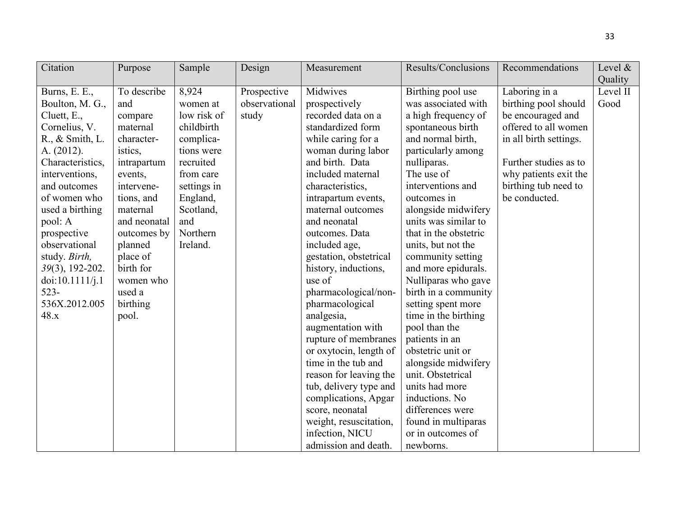| Citation                  | Purpose      | Sample      | Design        | Measurement            | Results/Conclusions   | Recommendations        | Level $\&$ |
|---------------------------|--------------|-------------|---------------|------------------------|-----------------------|------------------------|------------|
|                           |              |             |               |                        |                       |                        | Quality    |
| Burns, E. E.,             | To describe  | 8,924       | Prospective   | Midwives               | Birthing pool use     | Laboring in a          | Level II   |
| Boulton, M. G.,           | and          | women at    | observational | prospectively          | was associated with   | birthing pool should   | Good       |
| Cluett, E.,               | compare      | low risk of | study         | recorded data on a     | a high frequency of   | be encouraged and      |            |
| Cornelius, V.             | maternal     | childbirth  |               | standardized form      | spontaneous birth     | offered to all women   |            |
| $R_{\cdot}$ , & Smith, L. | character-   | complica-   |               | while caring for a     | and normal birth,     | in all birth settings. |            |
| A. (2012).                | istics,      | tions were  |               | woman during labor     | particularly among    |                        |            |
| Characteristics,          | intrapartum  | recruited   |               | and birth. Data        | nulliparas.           | Further studies as to  |            |
| interventions,            | events,      | from care   |               | included maternal      | The use of            | why patients exit the  |            |
| and outcomes              | intervene-   | settings in |               | characteristics,       | interventions and     | birthing tub need to   |            |
| of women who              | tions, and   | England,    |               | intrapartum events,    | outcomes in           | be conducted.          |            |
| used a birthing           | maternal     | Scotland,   |               | maternal outcomes      | alongside midwifery   |                        |            |
| pool: A                   | and neonatal | and         |               | and neonatal           | units was similar to  |                        |            |
| prospective               | outcomes by  | Northern    |               | outcomes. Data         | that in the obstetric |                        |            |
| observational             | planned      | Ireland.    |               | included age,          | units, but not the    |                        |            |
| study. Birth,             | place of     |             |               | gestation, obstetrical | community setting     |                        |            |
| 39(3), 192-202.           | birth for    |             |               | history, inductions,   | and more epidurals.   |                        |            |
| doi:10.1111/j.1           | women who    |             |               | use of                 | Nulliparas who gave   |                        |            |
| $523 -$                   | used a       |             |               | pharmacological/non-   | birth in a community  |                        |            |
| 536X.2012.005             | birthing     |             |               | pharmacological        | setting spent more    |                        |            |
| 48.x                      | pool.        |             |               | analgesia,             | time in the birthing  |                        |            |
|                           |              |             |               | augmentation with      | pool than the         |                        |            |
|                           |              |             |               | rupture of membranes   | patients in an        |                        |            |
|                           |              |             |               | or oxytocin, length of | obstetric unit or     |                        |            |
|                           |              |             |               | time in the tub and    | alongside midwifery   |                        |            |
|                           |              |             |               | reason for leaving the | unit. Obstetrical     |                        |            |
|                           |              |             |               | tub, delivery type and | units had more        |                        |            |
|                           |              |             |               | complications, Apgar   | inductions. No        |                        |            |
|                           |              |             |               | score, neonatal        | differences were      |                        |            |
|                           |              |             |               | weight, resuscitation, | found in multiparas   |                        |            |
|                           |              |             |               | infection, NICU        | or in outcomes of     |                        |            |
|                           |              |             |               | admission and death.   | newborns.             |                        |            |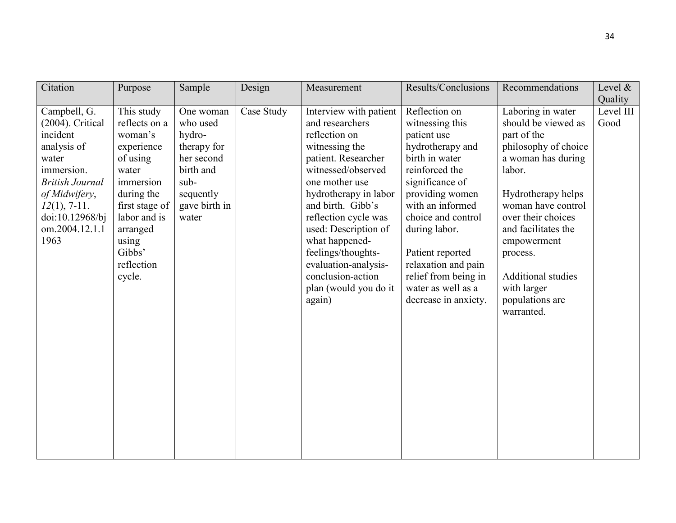| Citation                                                                                                                                                                                      | Purpose                                                                                                                                                                                       | Sample                                                                                                                   | Design     | Measurement                                                                                                                                                                                                                                                                                                                                                       | Results/Conclusions                                                                                                                                                                                                                                                                                                       | Recommendations                                                                                                                                                                                                                                                                                                  | Level $\&$<br>Quality |
|-----------------------------------------------------------------------------------------------------------------------------------------------------------------------------------------------|-----------------------------------------------------------------------------------------------------------------------------------------------------------------------------------------------|--------------------------------------------------------------------------------------------------------------------------|------------|-------------------------------------------------------------------------------------------------------------------------------------------------------------------------------------------------------------------------------------------------------------------------------------------------------------------------------------------------------------------|---------------------------------------------------------------------------------------------------------------------------------------------------------------------------------------------------------------------------------------------------------------------------------------------------------------------------|------------------------------------------------------------------------------------------------------------------------------------------------------------------------------------------------------------------------------------------------------------------------------------------------------------------|-----------------------|
| Campbell, G.<br>(2004). Critical<br>incident<br>analysis of<br>water<br>immersion.<br><b>British Journal</b><br>of Midwifery,<br>$12(1)$ , 7-11.<br>doi:10.12968/bj<br>om.2004.12.1.1<br>1963 | This study<br>reflects on a<br>woman's<br>experience<br>of using<br>water<br>immersion<br>during the<br>first stage of<br>labor and is<br>arranged<br>using<br>Gibbs'<br>reflection<br>cycle. | One woman<br>who used<br>hydro-<br>therapy for<br>her second<br>birth and<br>sub-<br>sequently<br>gave birth in<br>water | Case Study | Interview with patient<br>and researchers<br>reflection on<br>witnessing the<br>patient. Researcher<br>witnessed/observed<br>one mother use<br>hydrotherapy in labor<br>and birth. Gibb's<br>reflection cycle was<br>used: Description of<br>what happened-<br>feelings/thoughts-<br>evaluation-analysis-<br>conclusion-action<br>plan (would you do it<br>again) | Reflection on<br>witnessing this<br>patient use<br>hydrotherapy and<br>birth in water<br>reinforced the<br>significance of<br>providing women<br>with an informed<br>choice and control<br>during labor.<br>Patient reported<br>relaxation and pain<br>relief from being in<br>water as well as a<br>decrease in anxiety. | Laboring in water<br>should be viewed as<br>part of the<br>philosophy of choice<br>a woman has during<br>labor.<br>Hydrotherapy helps<br>woman have control<br>over their choices<br>and facilitates the<br>empowerment<br>process.<br><b>Additional studies</b><br>with larger<br>populations are<br>warranted. | Level III<br>Good     |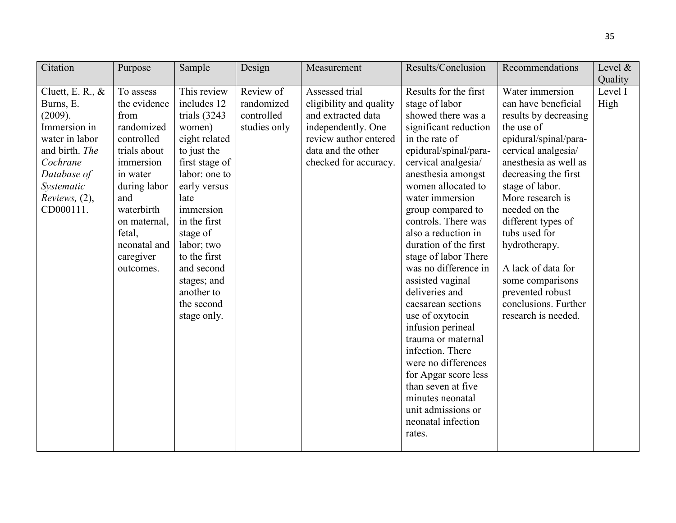| Citation            | Purpose      | Sample          | Design       | Measurement             | Results/Conclusion    | Recommendations       | Level $\&$ |
|---------------------|--------------|-----------------|--------------|-------------------------|-----------------------|-----------------------|------------|
|                     |              |                 |              |                         |                       |                       | Quality    |
| Cluett, E. R., $\&$ | To assess    | This review     | Review of    | Assessed trial          | Results for the first | Water immersion       | Level I    |
| Burns, E.           | the evidence | includes 12     | randomized   | eligibility and quality | stage of labor        | can have beneficial   | High       |
| (2009).             | from         | trials $(3243)$ | controlled   | and extracted data      | showed there was a    | results by decreasing |            |
| Immersion in        | randomized   | women)          | studies only | independently. One      | significant reduction | the use of            |            |
| water in labor      | controlled   | eight related   |              | review author entered   | in the rate of        | epidural/spinal/para- |            |
| and birth. The      | trials about | to just the     |              | data and the other      | epidural/spinal/para- | cervical analgesia/   |            |
| Cochrane            | immersion    | first stage of  |              | checked for accuracy.   | cervical analgesia/   | anesthesia as well as |            |
| Database of         | in water     | labor: one to   |              |                         | anesthesia amongst    | decreasing the first  |            |
| Systematic          | during labor | early versus    |              |                         | women allocated to    | stage of labor.       |            |
| Reviews, $(2)$ ,    | and          | late            |              |                         | water immersion       | More research is      |            |
| CD000111.           | waterbirth   | immersion       |              |                         | group compared to     | needed on the         |            |
|                     | on maternal, | in the first    |              |                         | controls. There was   | different types of    |            |
|                     | fetal,       | stage of        |              |                         | also a reduction in   | tubs used for         |            |
|                     | neonatal and | labor; two      |              |                         | duration of the first | hydrotherapy.         |            |
|                     | caregiver    | to the first    |              |                         | stage of labor There  |                       |            |
|                     | outcomes.    | and second      |              |                         | was no difference in  | A lack of data for    |            |
|                     |              | stages; and     |              |                         | assisted vaginal      | some comparisons      |            |
|                     |              | another to      |              |                         | deliveries and        | prevented robust      |            |
|                     |              | the second      |              |                         | caesarean sections    | conclusions. Further  |            |
|                     |              | stage only.     |              |                         | use of oxytocin       | research is needed.   |            |
|                     |              |                 |              |                         | infusion perineal     |                       |            |
|                     |              |                 |              |                         | trauma or maternal    |                       |            |
|                     |              |                 |              |                         | infection. There      |                       |            |
|                     |              |                 |              |                         | were no differences   |                       |            |
|                     |              |                 |              |                         | for Apgar score less  |                       |            |
|                     |              |                 |              |                         | than seven at five    |                       |            |
|                     |              |                 |              |                         | minutes neonatal      |                       |            |
|                     |              |                 |              |                         | unit admissions or    |                       |            |
|                     |              |                 |              |                         | neonatal infection    |                       |            |
|                     |              |                 |              |                         | rates.                |                       |            |
|                     |              |                 |              |                         |                       |                       |            |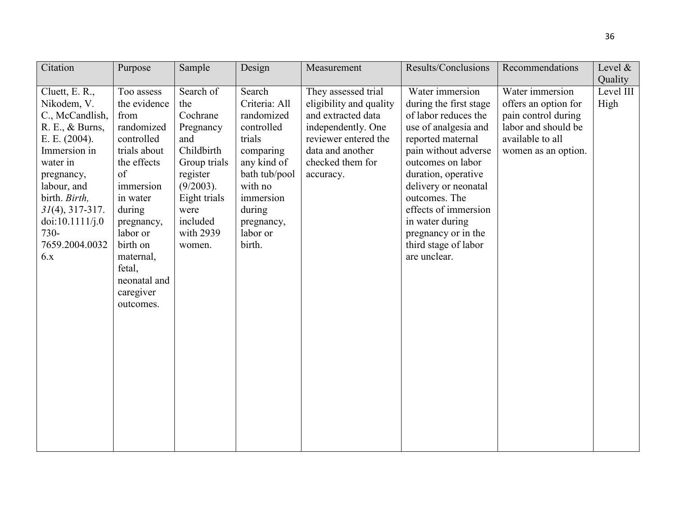| Citation                                                                                                                                                                                                                                    | Purpose                                                                                                                                                                                                                                       | Sample                                                                                                                                                                | Design                                                                                                                                                                           | Measurement                                                                                                                                                             | Results/Conclusions                                                                                                                                                                                                                                                                                                                   | Recommendations                                                                                                                  | Level &                      |
|---------------------------------------------------------------------------------------------------------------------------------------------------------------------------------------------------------------------------------------------|-----------------------------------------------------------------------------------------------------------------------------------------------------------------------------------------------------------------------------------------------|-----------------------------------------------------------------------------------------------------------------------------------------------------------------------|----------------------------------------------------------------------------------------------------------------------------------------------------------------------------------|-------------------------------------------------------------------------------------------------------------------------------------------------------------------------|---------------------------------------------------------------------------------------------------------------------------------------------------------------------------------------------------------------------------------------------------------------------------------------------------------------------------------------|----------------------------------------------------------------------------------------------------------------------------------|------------------------------|
| Cluett, E. R.,<br>Nikodem, V.<br>C., McCandlish,<br>R. E., & Burns,<br>E. E. $(2004)$ .<br>Immersion in<br>water in<br>pregnancy,<br>labour, and<br>birth. Birth,<br>$31(4)$ , 317-317.<br>doi:10.1111/j.0<br>730-<br>7659.2004.0032<br>6.x | Too assess<br>the evidence<br>from<br>randomized<br>controlled<br>trials about<br>the effects<br>of<br>immersion<br>in water<br>during<br>pregnancy,<br>labor or<br>birth on<br>maternal,<br>fetal,<br>neonatal and<br>caregiver<br>outcomes. | Search of<br>the<br>Cochrane<br>Pregnancy<br>and<br>Childbirth<br>Group trials<br>register<br>$(9/2003)$ .<br>Eight trials<br>were<br>included<br>with 2939<br>women. | Search<br>Criteria: All<br>randomized<br>controlled<br>trials<br>comparing<br>any kind of<br>bath tub/pool<br>with no<br>immersion<br>during<br>pregnancy,<br>labor or<br>birth. | They assessed trial<br>eligibility and quality<br>and extracted data<br>independently. One<br>reviewer entered the<br>data and another<br>checked them for<br>accuracy. | Water immersion<br>during the first stage<br>of labor reduces the<br>use of analgesia and<br>reported maternal<br>pain without adverse<br>outcomes on labor<br>duration, operative<br>delivery or neonatal<br>outcomes. The<br>effects of immersion<br>in water during<br>pregnancy or in the<br>third stage of labor<br>are unclear. | Water immersion<br>offers an option for<br>pain control during<br>labor and should be<br>available to all<br>women as an option. | Quality<br>Level III<br>High |
|                                                                                                                                                                                                                                             |                                                                                                                                                                                                                                               |                                                                                                                                                                       |                                                                                                                                                                                  |                                                                                                                                                                         |                                                                                                                                                                                                                                                                                                                                       |                                                                                                                                  |                              |
|                                                                                                                                                                                                                                             |                                                                                                                                                                                                                                               |                                                                                                                                                                       |                                                                                                                                                                                  |                                                                                                                                                                         |                                                                                                                                                                                                                                                                                                                                       |                                                                                                                                  |                              |

36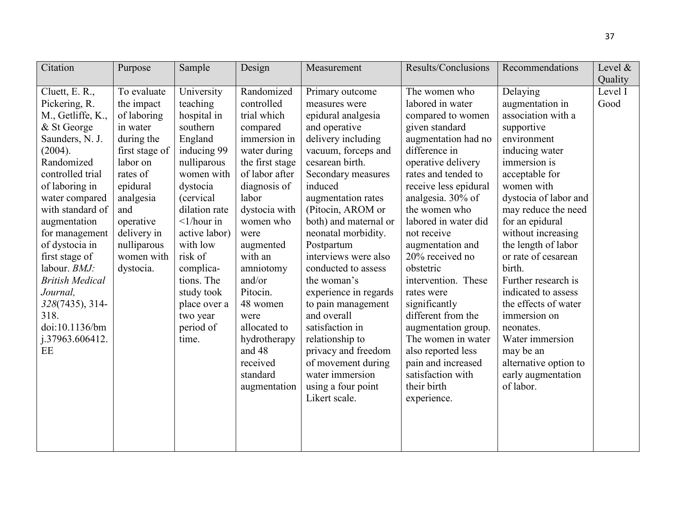| Citation               | Purpose        | Sample              | Design          | Measurement           | Results/Conclusions   | Recommendations       | Level & |
|------------------------|----------------|---------------------|-----------------|-----------------------|-----------------------|-----------------------|---------|
|                        |                |                     |                 |                       |                       |                       | Quality |
| Cluett, E. R.,         | To evaluate    | University          | Randomized      | Primary outcome       | The women who         | Delaying              | Level I |
| Pickering, R.          | the impact     | teaching            | controlled      | measures were         | labored in water      | augmentation in       | Good    |
| M., Getliffe, K.,      | of laboring    | hospital in         | trial which     | epidural analgesia    | compared to women     | association with a    |         |
| & St George            | in water       | southern            | compared        | and operative         | given standard        | supportive            |         |
| Saunders, N. J.        | during the     | England             | immersion in    | delivery including    | augmentation had no   | environment           |         |
| (2004).                | first stage of | inducing 99         | water during    | vacuum, forceps and   | difference in         | inducing water        |         |
| Randomized             | labor on       | nulliparous         | the first stage | cesarean birth.       | operative delivery    | immersion is          |         |
| controlled trial       | rates of       | women with          | of labor after  | Secondary measures    | rates and tended to   | acceptable for        |         |
| of laboring in         | epidural       | dystocia            | diagnosis of    | induced               | receive less epidural | women with            |         |
| water compared         | analgesia      | (cervical)          | labor           | augmentation rates    | analgesia. 30% of     | dystocia of labor and |         |
| with standard of       | and            | dilation rate       | dystocia with   | (Pitocin, AROM or     | the women who         | may reduce the need   |         |
| augmentation           | operative      | $\langle$ 1/hour in | women who       | both) and maternal or | labored in water did  | for an epidural       |         |
| for management         | delivery in    | active labor)       | were            | neonatal morbidity.   | not receive           | without increasing    |         |
| of dystocia in         | nulliparous    | with low            | augmented       | Postpartum            | augmentation and      | the length of labor   |         |
| first stage of         | women with     | risk of             | with an         | interviews were also  | 20% received no       | or rate of cesarean   |         |
| labour. BMJ:           | dystocia.      | complica-           | amniotomy       | conducted to assess   | obstetric             | birth.                |         |
| <b>British Medical</b> |                | tions. The          | and/or          | the woman's           | intervention. These   | Further research is   |         |
| Journal,               |                | study took          | Pitocin.        | experience in regards | rates were            | indicated to assess   |         |
| 328(7435), 314-        |                | place over a        | 48 women        | to pain management    | significantly         | the effects of water  |         |
| 318.                   |                | two year            | were            | and overall           | different from the    | immersion on          |         |
| doi:10.1136/bm         |                | period of           | allocated to    | satisfaction in       | augmentation group.   | neonates.             |         |
| j.37963.606412.        |                | time.               | hydrotherapy    | relationship to       | The women in water    | Water immersion       |         |
| EE                     |                |                     | and 48          | privacy and freedom   | also reported less    | may be an             |         |
|                        |                |                     | received        | of movement during    | pain and increased    | alternative option to |         |
|                        |                |                     | standard        | water immersion       | satisfaction with     | early augmentation    |         |
|                        |                |                     | augmentation    | using a four point    | their birth           | of labor.             |         |
|                        |                |                     |                 | Likert scale.         | experience.           |                       |         |
|                        |                |                     |                 |                       |                       |                       |         |
|                        |                |                     |                 |                       |                       |                       |         |
|                        |                |                     |                 |                       |                       |                       |         |
|                        |                |                     |                 |                       |                       |                       |         |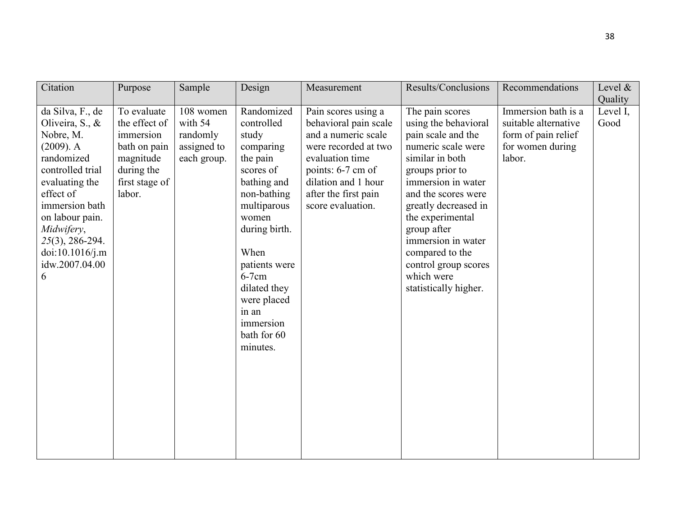| Citation                                                                                                                                                                                                                                          | Purpose                                                                                                          | Sample                                                         | Design                                                                                                                                                                                                                                                              | Measurement                                                                                                                                                                                             | Results/Conclusions                                                                                                                                                                                                                                                                                                                       | Recommendations                                                                                  | Level $\&$<br>Quality |
|---------------------------------------------------------------------------------------------------------------------------------------------------------------------------------------------------------------------------------------------------|------------------------------------------------------------------------------------------------------------------|----------------------------------------------------------------|---------------------------------------------------------------------------------------------------------------------------------------------------------------------------------------------------------------------------------------------------------------------|---------------------------------------------------------------------------------------------------------------------------------------------------------------------------------------------------------|-------------------------------------------------------------------------------------------------------------------------------------------------------------------------------------------------------------------------------------------------------------------------------------------------------------------------------------------|--------------------------------------------------------------------------------------------------|-----------------------|
| da Silva, F., de<br>Oliveira, S., &<br>Nobre, M.<br>$(2009)$ . A<br>randomized<br>controlled trial<br>evaluating the<br>effect of<br>immersion bath<br>on labour pain.<br>Midwifery,<br>25(3), 286-294.<br>doi:10.1016/j.m<br>idw.2007.04.00<br>6 | To evaluate<br>the effect of<br>immersion<br>bath on pain<br>magnitude<br>during the<br>first stage of<br>labor. | 108 women<br>with 54<br>randomly<br>assigned to<br>each group. | Randomized<br>controlled<br>study<br>comparing<br>the pain<br>scores of<br>bathing and<br>non-bathing<br>multiparous<br>women<br>during birth.<br>When<br>patients were<br>$6-7$ cm<br>dilated they<br>were placed<br>in an<br>immersion<br>bath for 60<br>minutes. | Pain scores using a<br>behavioral pain scale<br>and a numeric scale<br>were recorded at two<br>evaluation time<br>points: 6-7 cm of<br>dilation and 1 hour<br>after the first pain<br>score evaluation. | The pain scores<br>using the behavioral<br>pain scale and the<br>numeric scale were<br>similar in both<br>groups prior to<br>immersion in water<br>and the scores were<br>greatly decreased in<br>the experimental<br>group after<br>immersion in water<br>compared to the<br>control group scores<br>which were<br>statistically higher. | Immersion bath is a<br>suitable alternative<br>form of pain relief<br>for women during<br>labor. | Level I,<br>Good      |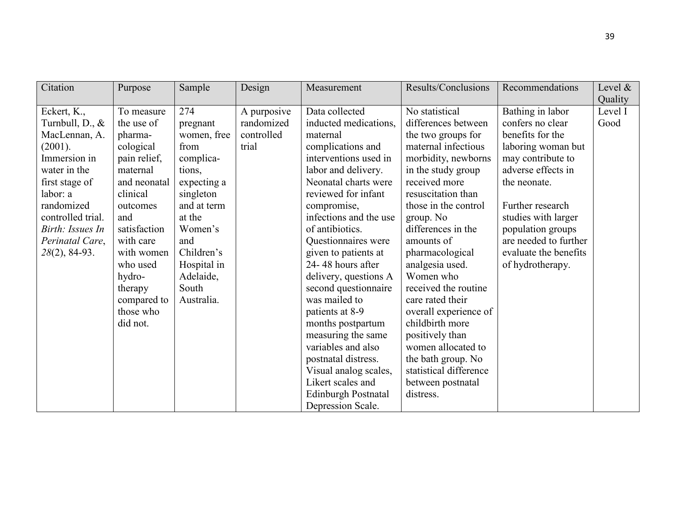| Citation          | Purpose      | Sample      | Design      | Measurement            | Results/Conclusions    | Recommendations       | Level & |
|-------------------|--------------|-------------|-------------|------------------------|------------------------|-----------------------|---------|
|                   |              |             |             |                        |                        |                       | Quality |
| Eckert, K.,       | To measure   | 274         | A purposive | Data collected         | No statistical         | Bathing in labor      | Level I |
| Turnbull, D., &   | the use of   | pregnant    | randomized  | inducted medications,  | differences between    | confers no clear      | Good    |
| MacLennan, A.     | pharma-      | women, free | controlled  | maternal               | the two groups for     | benefits for the      |         |
| (2001).           | cological    | from        | trial       | complications and      | maternal infectious    | laboring woman but    |         |
| Immersion in      | pain relief, | complica-   |             | interventions used in  | morbidity, newborns    | may contribute to     |         |
| water in the      | maternal     | tions,      |             | labor and delivery.    | in the study group     | adverse effects in    |         |
| first stage of    | and neonatal | expecting a |             | Neonatal charts were   | received more          | the neonate.          |         |
| labor: a          | clinical     | singleton   |             | reviewed for infant    | resuscitation than     |                       |         |
| randomized        | outcomes     | and at term |             | compromise,            | those in the control   | Further research      |         |
| controlled trial. | and          | at the      |             | infections and the use | group. No              | studies with larger   |         |
| Birth: Issues In  | satisfaction | Women's     |             | of antibiotics.        | differences in the     | population groups     |         |
| Perinatal Care,   | with care    | and         |             | Questionnaires were    | amounts of             | are needed to further |         |
| 28(2), 84-93.     | with women   | Children's  |             | given to patients at   | pharmacological        | evaluate the benefits |         |
|                   | who used     | Hospital in |             | 24-48 hours after      | analgesia used.        | of hydrotherapy.      |         |
|                   | hydro-       | Adelaide,   |             | delivery, questions A  | Women who              |                       |         |
|                   | therapy      | South       |             | second questionnaire   | received the routine   |                       |         |
|                   | compared to  | Australia.  |             | was mailed to          | care rated their       |                       |         |
|                   | those who    |             |             | patients at 8-9        | overall experience of  |                       |         |
|                   | did not.     |             |             | months postpartum      | childbirth more        |                       |         |
|                   |              |             |             | measuring the same     | positively than        |                       |         |
|                   |              |             |             | variables and also     | women allocated to     |                       |         |
|                   |              |             |             | postnatal distress.    | the bath group. No     |                       |         |
|                   |              |             |             | Visual analog scales,  | statistical difference |                       |         |
|                   |              |             |             | Likert scales and      | between postnatal      |                       |         |
|                   |              |             |             | Edinburgh Postnatal    | distress.              |                       |         |
|                   |              |             |             | Depression Scale.      |                        |                       |         |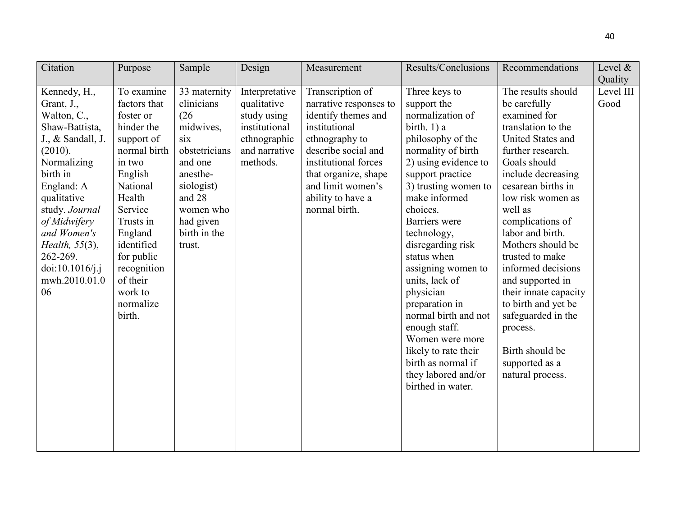| Citation          | Purpose      | Sample        | Design         | Measurement            | Results/Conclusions  | Recommendations       | Level &   |
|-------------------|--------------|---------------|----------------|------------------------|----------------------|-----------------------|-----------|
|                   |              |               |                |                        |                      |                       | Quality   |
| Kennedy, H.,      | To examine   | 33 maternity  | Interpretative | Transcription of       | Three keys to        | The results should    | Level III |
| Grant, J.,        | factors that | clinicians    | qualitative    | narrative responses to | support the          | be carefully          | Good      |
| Walton, C.,       | foster or    | (26)          | study using    | identify themes and    | normalization of     | examined for          |           |
| Shaw-Battista,    | hinder the   | midwives,     | institutional  | institutional          | birth. 1) a          | translation to the    |           |
| J., & Sandall, J. | support of   | six           | ethnographic   | ethnography to         | philosophy of the    | United States and     |           |
| (2010).           | normal birth | obstetricians | and narrative  | describe social and    | normality of birth   | further research.     |           |
| Normalizing       | in two       | and one       | methods.       | institutional forces   | 2) using evidence to | Goals should          |           |
| birth in          | English      | anesthe-      |                | that organize, shape   | support practice     | include decreasing    |           |
| England: A        | National     | siologist)    |                | and limit women's      | 3) trusting women to | cesarean births in    |           |
| qualitative       | Health       | and 28        |                | ability to have a      | make informed        | low risk women as     |           |
| study. Journal    | Service      | women who     |                | normal birth.          | choices.             | well as               |           |
| of Midwifery      | Trusts in    | had given     |                |                        | Barriers were        | complications of      |           |
| and Women's       | England      | birth in the  |                |                        | technology,          | labor and birth.      |           |
| Health, 55(3),    | identified   | trust.        |                |                        | disregarding risk    | Mothers should be     |           |
| 262-269.          | for public   |               |                |                        | status when          | trusted to make       |           |
| doi:10.1016/j.j   | recognition  |               |                |                        | assigning women to   | informed decisions    |           |
| mwh.2010.01.0     | of their     |               |                |                        | units, lack of       | and supported in      |           |
| 06                | work to      |               |                |                        | physician            | their innate capacity |           |
|                   | normalize    |               |                |                        | preparation in       | to birth and yet be   |           |
|                   | birth.       |               |                |                        | normal birth and not | safeguarded in the    |           |
|                   |              |               |                |                        | enough staff.        | process.              |           |
|                   |              |               |                |                        | Women were more      |                       |           |
|                   |              |               |                |                        | likely to rate their | Birth should be       |           |
|                   |              |               |                |                        | birth as normal if   | supported as a        |           |
|                   |              |               |                |                        | they labored and/or  | natural process.      |           |
|                   |              |               |                |                        | birthed in water.    |                       |           |
|                   |              |               |                |                        |                      |                       |           |
|                   |              |               |                |                        |                      |                       |           |
|                   |              |               |                |                        |                      |                       |           |
|                   |              |               |                |                        |                      |                       |           |
|                   |              |               |                |                        |                      |                       |           |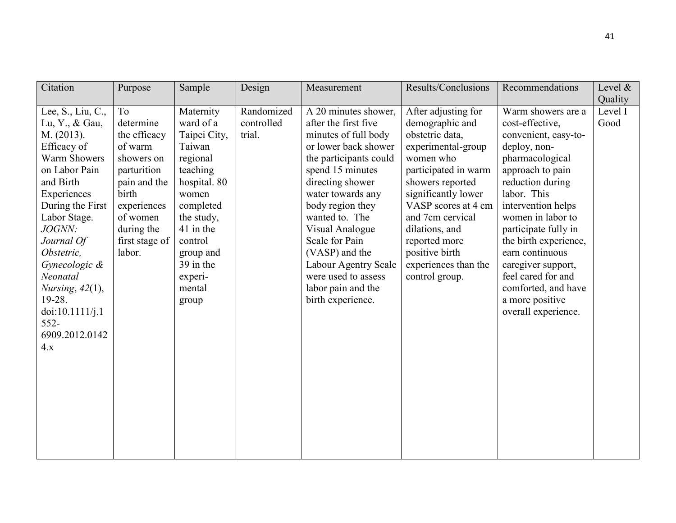| Citation                                                                                                                                                                                                                                                                                                                                 | Purpose                                                                                                                                                                           | Sample                                                                                                                                                                                                       | Design                             | Measurement                                                                                                                                                                                                                                                                                                                                                                       | Results/Conclusions                                                                                                                                                                                                                                                                                       | Recommendations                                                                                                                                                                                                                                                                                                                                                                     | Level $\&$<br>Quality |
|------------------------------------------------------------------------------------------------------------------------------------------------------------------------------------------------------------------------------------------------------------------------------------------------------------------------------------------|-----------------------------------------------------------------------------------------------------------------------------------------------------------------------------------|--------------------------------------------------------------------------------------------------------------------------------------------------------------------------------------------------------------|------------------------------------|-----------------------------------------------------------------------------------------------------------------------------------------------------------------------------------------------------------------------------------------------------------------------------------------------------------------------------------------------------------------------------------|-----------------------------------------------------------------------------------------------------------------------------------------------------------------------------------------------------------------------------------------------------------------------------------------------------------|-------------------------------------------------------------------------------------------------------------------------------------------------------------------------------------------------------------------------------------------------------------------------------------------------------------------------------------------------------------------------------------|-----------------------|
| Lee, S., Liu, C.,<br>Lu, Y., & Gau,<br>M. (2013).<br>Efficacy of<br><b>Warm Showers</b><br>on Labor Pain<br>and Birth<br>Experiences<br>During the First<br>Labor Stage.<br><i>JOGNN:</i><br>Journal Of<br>Obstetric,<br>Gynecologic &<br>Neonatal<br>Nursing, $42(1)$ ,<br>19-28.<br>doi:10.1111/j.1<br>$552-$<br>6909.2012.0142<br>4.x | T <sub>o</sub><br>determine<br>the efficacy<br>of warm<br>showers on<br>parturition<br>pain and the<br>birth<br>experiences<br>of women<br>during the<br>first stage of<br>labor. | Maternity<br>ward of a<br>Taipei City,<br>Taiwan<br>regional<br>teaching<br>hospital. 80<br>women<br>completed<br>the study,<br>41 in the<br>control<br>group and<br>39 in the<br>experi-<br>mental<br>group | Randomized<br>controlled<br>trial. | A 20 minutes shower,<br>after the first five<br>minutes of full body<br>or lower back shower<br>the participants could<br>spend 15 minutes<br>directing shower<br>water towards any<br>body region they<br>wanted to. The<br>Visual Analogue<br>Scale for Pain<br>(VASP) and the<br><b>Labour Agentry Scale</b><br>were used to assess<br>labor pain and the<br>birth experience. | After adjusting for<br>demographic and<br>obstetric data,<br>experimental-group<br>women who<br>participated in warm<br>showers reported<br>significantly lower<br>VASP scores at 4 cm<br>and 7cm cervical<br>dilations, and<br>reported more<br>positive birth<br>experiences than the<br>control group. | Warm showers are a<br>cost-effective,<br>convenient, easy-to-<br>deploy, non-<br>pharmacological<br>approach to pain<br>reduction during<br>labor. This<br>intervention helps<br>women in labor to<br>participate fully in<br>the birth experience,<br>earn continuous<br>caregiver support,<br>feel cared for and<br>comforted, and have<br>a more positive<br>overall experience. | Level I<br>Good       |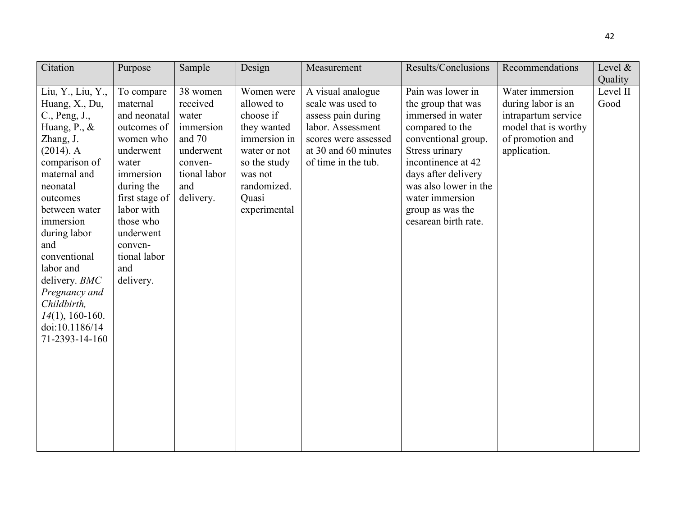| Citation           | Purpose        | Sample       | Design       | Measurement          | Results/Conclusions   | Recommendations      | Level $\&$ |
|--------------------|----------------|--------------|--------------|----------------------|-----------------------|----------------------|------------|
|                    |                |              |              |                      |                       |                      | Quality    |
| Liu, Y., Liu, Y.,  | To compare     | 38 women     | Women were   | A visual analogue    | Pain was lower in     | Water immersion      | Level II   |
| Huang, X., Du,     | maternal       | received     | allowed to   | scale was used to    | the group that was    | during labor is an   | Good       |
| C., Peng, J.,      | and neonatal   | water        | choose if    | assess pain during   | immersed in water     | intrapartum service  |            |
| Huang, P., &       | outcomes of    | immersion    | they wanted  | labor. Assessment    | compared to the       | model that is worthy |            |
| Zhang, J.          | women who      | and 70       | immersion in | scores were assessed | conventional group.   | of promotion and     |            |
| $(2014)$ . A       | underwent      | underwent    | water or not | at 30 and 60 minutes | Stress urinary        | application.         |            |
| comparison of      | water          | conven-      | so the study | of time in the tub.  | incontinence at 42    |                      |            |
| maternal and       | immersion      | tional labor | was not      |                      | days after delivery   |                      |            |
| neonatal           | during the     | and          | randomized.  |                      | was also lower in the |                      |            |
| outcomes           | first stage of | delivery.    | Quasi        |                      | water immersion       |                      |            |
| between water      | labor with     |              | experimental |                      | group as was the      |                      |            |
| immersion          | those who      |              |              |                      | cesarean birth rate.  |                      |            |
| during labor       | underwent      |              |              |                      |                       |                      |            |
| and                | conven-        |              |              |                      |                       |                      |            |
| conventional       | tional labor   |              |              |                      |                       |                      |            |
| labor and          | and            |              |              |                      |                       |                      |            |
| delivery. BMC      | delivery.      |              |              |                      |                       |                      |            |
| Pregnancy and      |                |              |              |                      |                       |                      |            |
| Childbirth,        |                |              |              |                      |                       |                      |            |
| $14(1)$ , 160-160. |                |              |              |                      |                       |                      |            |
| doi:10.1186/14     |                |              |              |                      |                       |                      |            |
| 71-2393-14-160     |                |              |              |                      |                       |                      |            |
|                    |                |              |              |                      |                       |                      |            |
|                    |                |              |              |                      |                       |                      |            |
|                    |                |              |              |                      |                       |                      |            |
|                    |                |              |              |                      |                       |                      |            |
|                    |                |              |              |                      |                       |                      |            |
|                    |                |              |              |                      |                       |                      |            |
|                    |                |              |              |                      |                       |                      |            |
|                    |                |              |              |                      |                       |                      |            |
|                    |                |              |              |                      |                       |                      |            |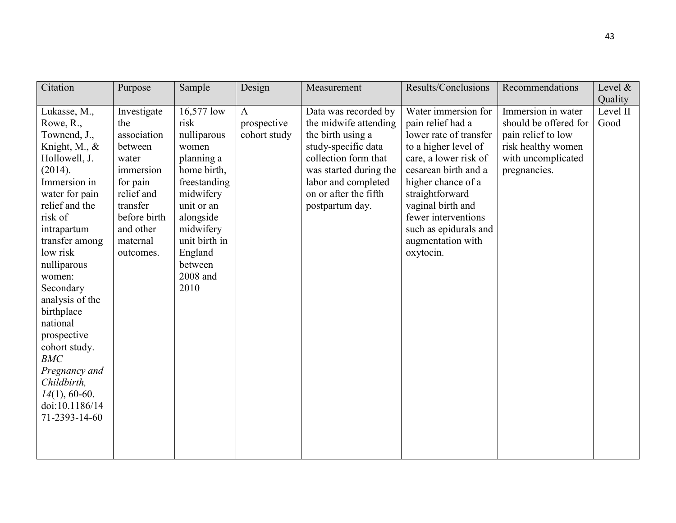| Citation                                                                                                                                                                                                                                                                                                                                                                                                                      | Purpose                                                                                                                                                        | Sample                                                                                                                                                                                                  | Design                                      | Measurement                                                                                                                                                                                                    | Results/Conclusions                                                                                                                                                                                                                                                                         | Recommendations                                                                                                               | Level $\&$<br>Quality |
|-------------------------------------------------------------------------------------------------------------------------------------------------------------------------------------------------------------------------------------------------------------------------------------------------------------------------------------------------------------------------------------------------------------------------------|----------------------------------------------------------------------------------------------------------------------------------------------------------------|---------------------------------------------------------------------------------------------------------------------------------------------------------------------------------------------------------|---------------------------------------------|----------------------------------------------------------------------------------------------------------------------------------------------------------------------------------------------------------------|---------------------------------------------------------------------------------------------------------------------------------------------------------------------------------------------------------------------------------------------------------------------------------------------|-------------------------------------------------------------------------------------------------------------------------------|-----------------------|
| Lukasse, M.,<br>Rowe, R.,<br>Townend, J.,<br>Knight, M., $\&$<br>Hollowell, J.<br>(2014).<br>Immersion in<br>water for pain<br>relief and the<br>risk of<br>intrapartum<br>transfer among<br>low risk<br>nulliparous<br>women:<br>Secondary<br>analysis of the<br>birthplace<br>national<br>prospective<br>cohort study.<br><b>BMC</b><br>Pregnancy and<br>Childbirth,<br>$14(1)$ , 60-60.<br>doi:10.1186/14<br>71-2393-14-60 | Investigate<br>the<br>association<br>between<br>water<br>immersion<br>for pain<br>relief and<br>transfer<br>before birth<br>and other<br>maternal<br>outcomes. | 16,577 low<br>risk<br>nulliparous<br>women<br>planning a<br>home birth,<br>freestanding<br>midwifery<br>unit or an<br>alongside<br>midwifery<br>unit birth in<br>England<br>between<br>2008 and<br>2010 | $\mathbf{A}$<br>prospective<br>cohort study | Data was recorded by<br>the midwife attending<br>the birth using a<br>study-specific data<br>collection form that<br>was started during the<br>labor and completed<br>on or after the fifth<br>postpartum day. | Water immersion for<br>pain relief had a<br>lower rate of transfer<br>to a higher level of<br>care, a lower risk of<br>cesarean birth and a<br>higher chance of a<br>straightforward<br>vaginal birth and<br>fewer interventions<br>such as epidurals and<br>augmentation with<br>oxytocin. | Immersion in water<br>should be offered for<br>pain relief to low<br>risk healthy women<br>with uncomplicated<br>pregnancies. | Level II<br>Good      |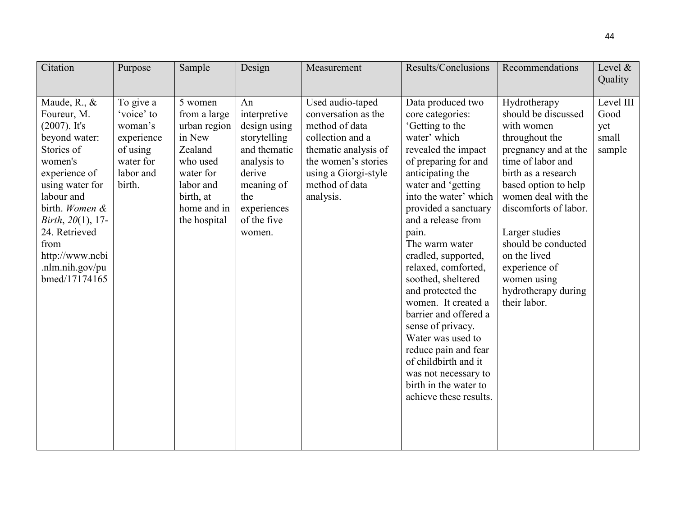| Citation                                                                                                                                                                                                                                                                     | Purpose                                                                                          | Sample                                                                                                                                         | Design                                                                                                                                                   | Measurement                                                                                                                                                                         | Results/Conclusions                                                                                                                                                                                                                                                                                                                                                                                                                                                                                                                                                               | Recommendations                                                                                                                                                                                                                                                                                                                                 | Level $\&$<br>Quality                       |
|------------------------------------------------------------------------------------------------------------------------------------------------------------------------------------------------------------------------------------------------------------------------------|--------------------------------------------------------------------------------------------------|------------------------------------------------------------------------------------------------------------------------------------------------|----------------------------------------------------------------------------------------------------------------------------------------------------------|-------------------------------------------------------------------------------------------------------------------------------------------------------------------------------------|-----------------------------------------------------------------------------------------------------------------------------------------------------------------------------------------------------------------------------------------------------------------------------------------------------------------------------------------------------------------------------------------------------------------------------------------------------------------------------------------------------------------------------------------------------------------------------------|-------------------------------------------------------------------------------------------------------------------------------------------------------------------------------------------------------------------------------------------------------------------------------------------------------------------------------------------------|---------------------------------------------|
| Maude, R., &<br>Foureur, M.<br>$(2007)$ . It's<br>beyond water:<br>Stories of<br>women's<br>experience of<br>using water for<br>labour and<br>birth. Women &<br><i>Birth</i> , $20(1)$ , 17-<br>24. Retrieved<br>from<br>http://www.ncbi<br>.nlm.nih.gov/pu<br>bmed/17174165 | To give a<br>'voice' to<br>woman's<br>experience<br>of using<br>water for<br>labor and<br>birth. | 5 women<br>from a large<br>urban region<br>in New<br>Zealand<br>who used<br>water for<br>labor and<br>birth, at<br>home and in<br>the hospital | An<br>interpretive<br>design using<br>storytelling<br>and thematic<br>analysis to<br>derive<br>meaning of<br>the<br>experiences<br>of the five<br>women. | Used audio-taped<br>conversation as the<br>method of data<br>collection and a<br>thematic analysis of<br>the women's stories<br>using a Giorgi-style<br>method of data<br>analysis. | Data produced two<br>core categories:<br>'Getting to the<br>water' which<br>revealed the impact<br>of preparing for and<br>anticipating the<br>water and 'getting<br>into the water' which<br>provided a sanctuary<br>and a release from<br>pain.<br>The warm water<br>cradled, supported,<br>relaxed, comforted,<br>soothed, sheltered<br>and protected the<br>women. It created a<br>barrier and offered a<br>sense of privacy.<br>Water was used to<br>reduce pain and fear<br>of childbirth and it<br>was not necessary to<br>birth in the water to<br>achieve these results. | Hydrotherapy<br>should be discussed<br>with women<br>throughout the<br>pregnancy and at the<br>time of labor and<br>birth as a research<br>based option to help<br>women deal with the<br>discomforts of labor.<br>Larger studies<br>should be conducted<br>on the lived<br>experience of<br>women using<br>hydrotherapy during<br>their labor. | Level III<br>Good<br>yet<br>small<br>sample |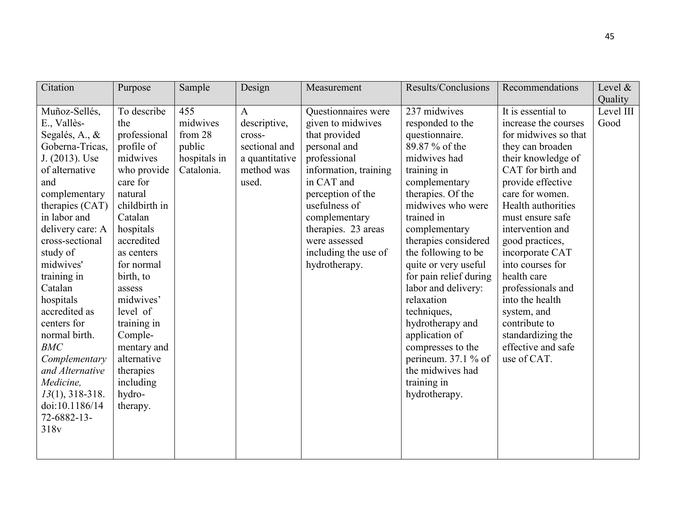| Citation                                                                                                                                                                                                                                                                                                                                                                                                                                                          | Purpose                                                                                                                                                                                                                                                                                                                                       | Sample                                                             | Design                                                                                           | Measurement                                                                                                                                                                                                                                                              | Results/Conclusions                                                                                                                                                                                                                                                                                                                                                                                                                                                                      | Recommendations                                                                                                                                                                                                                                                                                                                                                                                                                                    | Level $\&$<br>Quality |
|-------------------------------------------------------------------------------------------------------------------------------------------------------------------------------------------------------------------------------------------------------------------------------------------------------------------------------------------------------------------------------------------------------------------------------------------------------------------|-----------------------------------------------------------------------------------------------------------------------------------------------------------------------------------------------------------------------------------------------------------------------------------------------------------------------------------------------|--------------------------------------------------------------------|--------------------------------------------------------------------------------------------------|--------------------------------------------------------------------------------------------------------------------------------------------------------------------------------------------------------------------------------------------------------------------------|------------------------------------------------------------------------------------------------------------------------------------------------------------------------------------------------------------------------------------------------------------------------------------------------------------------------------------------------------------------------------------------------------------------------------------------------------------------------------------------|----------------------------------------------------------------------------------------------------------------------------------------------------------------------------------------------------------------------------------------------------------------------------------------------------------------------------------------------------------------------------------------------------------------------------------------------------|-----------------------|
| Muñoz-Sellés,<br>E., Vallès-<br>Segalés, A., &<br>Goberna-Tricas,<br>J. (2013). Use<br>of alternative<br>and<br>complementary<br>therapies (CAT)<br>in labor and<br>delivery care: A<br>cross-sectional<br>study of<br>midwives'<br>training in<br>Catalan<br>hospitals<br>accredited as<br>centers for<br>normal birth.<br><b>BMC</b><br>Complementary<br>and Alternative<br>Medicine,<br>$13(1), 318-318.$<br>doi:10.1186/14<br>72-6882-13-<br>318 <sub>v</sub> | To describe<br>the<br>professional<br>profile of<br>midwives<br>who provide<br>care for<br>natural<br>childbirth in<br>Catalan<br>hospitals<br>accredited<br>as centers<br>for normal<br>birth, to<br>assess<br>midwives'<br>level of<br>training in<br>Comple-<br>mentary and<br>alternative<br>therapies<br>including<br>hydro-<br>therapy. | 455<br>midwives<br>from 28<br>public<br>hospitals in<br>Catalonia. | $\mathbf{A}$<br>descriptive,<br>cross-<br>sectional and<br>a quantitative<br>method was<br>used. | Questionnaires were<br>given to midwives<br>that provided<br>personal and<br>professional<br>information, training<br>in CAT and<br>perception of the<br>usefulness of<br>complementary<br>therapies. 23 areas<br>were assessed<br>including the use of<br>hydrotherapy. | 237 midwives<br>responded to the<br>questionnaire.<br>89.87 % of the<br>midwives had<br>training in<br>complementary<br>therapies. Of the<br>midwives who were<br>trained in<br>complementary<br>therapies considered<br>the following to be<br>quite or very useful<br>for pain relief during<br>labor and delivery:<br>relaxation<br>techniques,<br>hydrotherapy and<br>application of<br>compresses to the<br>perineum. 37.1 % of<br>the midwives had<br>training in<br>hydrotherapy. | It is essential to<br>increase the courses<br>for midwives so that<br>they can broaden<br>their knowledge of<br>CAT for birth and<br>provide effective<br>care for women.<br>Health authorities<br>must ensure safe<br>intervention and<br>good practices,<br>incorporate CAT<br>into courses for<br>health care<br>professionals and<br>into the health<br>system, and<br>contribute to<br>standardizing the<br>effective and safe<br>use of CAT. | Level III<br>Good     |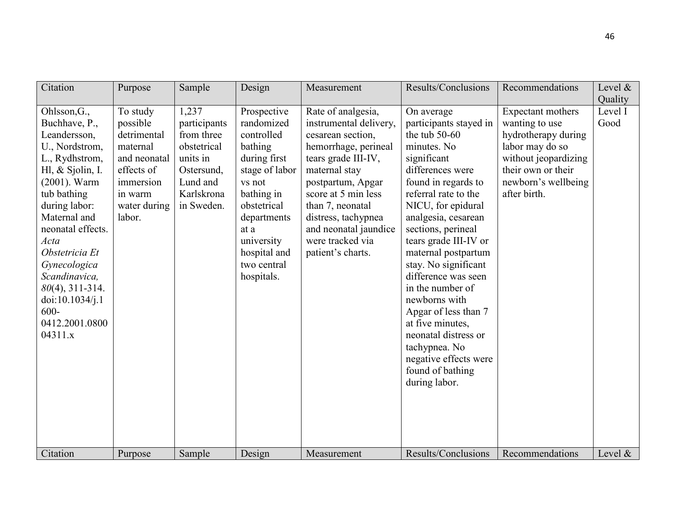| Citation                                                                                                                                                                                                                                                                                                                                                | Purpose                                                                                                                         | Sample                                                                                                                         | Design                                                                                                                                                                                                                  | Measurement                                                                                                                                                                                                                                                                                               | Results/Conclusions                                                                                                                                                                                                                                                                                                                                                                                                                                                                                                                       | Recommendations                                                                                                                                                                       | Level $&$<br>Quality          |
|---------------------------------------------------------------------------------------------------------------------------------------------------------------------------------------------------------------------------------------------------------------------------------------------------------------------------------------------------------|---------------------------------------------------------------------------------------------------------------------------------|--------------------------------------------------------------------------------------------------------------------------------|-------------------------------------------------------------------------------------------------------------------------------------------------------------------------------------------------------------------------|-----------------------------------------------------------------------------------------------------------------------------------------------------------------------------------------------------------------------------------------------------------------------------------------------------------|-------------------------------------------------------------------------------------------------------------------------------------------------------------------------------------------------------------------------------------------------------------------------------------------------------------------------------------------------------------------------------------------------------------------------------------------------------------------------------------------------------------------------------------------|---------------------------------------------------------------------------------------------------------------------------------------------------------------------------------------|-------------------------------|
| Ohlsson, G.,<br>Buchhave, P.,<br>Leandersson,<br>U., Nordstrom,<br>L., Rydhstrom,<br>Hl, $&$ Sjolin, I.<br>$(2001)$ . Warm<br>tub bathing<br>during labor:<br>Maternal and<br>neonatal effects.<br>Acta<br>Obstetricia Et<br>Gynecologica<br>Scandinavica,<br>$80(4)$ , 311-314.<br>doi:10.1034/j.1<br>$600 -$<br>0412.2001.0800<br>04311.x<br>Citation | To study<br>possible<br>detrimental<br>maternal<br>and neonatal<br>effects of<br>immersion<br>in warm<br>water during<br>labor. | 1,237<br>participants<br>from three<br>obstetrical<br>units in<br>Ostersund,<br>Lund and<br>Karlskrona<br>in Sweden.<br>Sample | Prospective<br>randomized<br>controlled<br>bathing<br>during first<br>stage of labor<br>vs not<br>bathing in<br>obstetrical<br>departments<br>at a<br>university<br>hospital and<br>two central<br>hospitals.<br>Design | Rate of analgesia,<br>instrumental delivery,<br>cesarean section,<br>hemorrhage, perineal<br>tears grade III-IV,<br>maternal stay<br>postpartum, Apgar<br>score at 5 min less<br>than 7, neonatal<br>distress, tachypnea<br>and neonatal jaundice<br>were tracked via<br>patient's charts.<br>Measurement | On average<br>participants stayed in<br>the tub $50-60$<br>minutes. No<br>significant<br>differences were<br>found in regards to<br>referral rate to the<br>NICU, for epidural<br>analgesia, cesarean<br>sections, perineal<br>tears grade III-IV or<br>maternal postpartum<br>stay. No significant<br>difference was seen<br>in the number of<br>newborns with<br>Apgar of less than 7<br>at five minutes,<br>neonatal distress or<br>tachypnea. No<br>negative effects were<br>found of bathing<br>during labor.<br>Results/Conclusions | Expectant mothers<br>wanting to use<br>hydrotherapy during<br>labor may do so<br>without jeopardizing<br>their own or their<br>newborn's wellbeing<br>after birth.<br>Recommendations | Level I<br>Good<br>Level $\&$ |
|                                                                                                                                                                                                                                                                                                                                                         | Purpose                                                                                                                         |                                                                                                                                |                                                                                                                                                                                                                         |                                                                                                                                                                                                                                                                                                           |                                                                                                                                                                                                                                                                                                                                                                                                                                                                                                                                           |                                                                                                                                                                                       |                               |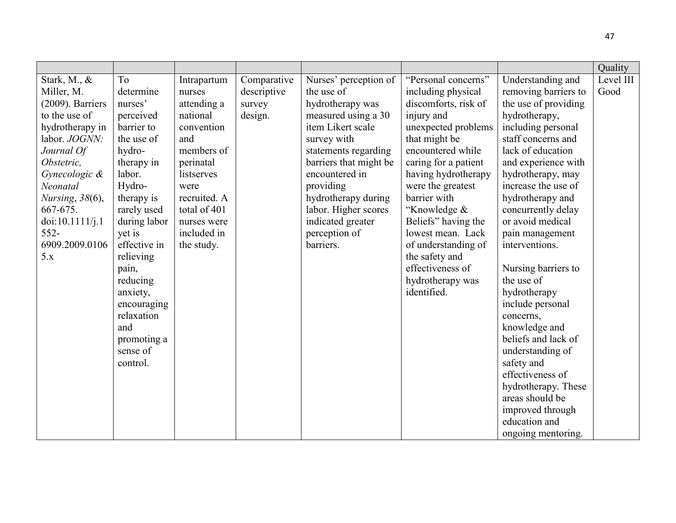|                     |              |              |             |                        |                      |                                        | Quality   |
|---------------------|--------------|--------------|-------------|------------------------|----------------------|----------------------------------------|-----------|
| Stark, M., &        | To           | Intrapartum  | Comparative | Nurses' perception of  | "Personal concerns"  | Understanding and                      | Level III |
| Miller, M.          | determine    | nurses       | descriptive | the use of             | including physical   | removing barriers to                   | Good      |
| $(2009)$ . Barriers | nurses'      | attending a  | survey      | hydrotherapy was       | discomforts, risk of | the use of providing                   |           |
| to the use of       | perceived    | national     | design.     | measured using a 30    | injury and           | hydrotherapy,                          |           |
| hydrotherapy in     | barrier to   | convention   |             | item Likert scale      | unexpected problems  | including personal                     |           |
| labor. JOGNN:       | the use of   | and          |             | survey with            | that might be        | staff concerns and                     |           |
| Journal Of          | hydro-       | members of   |             | statements regarding   | encountered while    | lack of education                      |           |
| Obstetric.          | therapy in   | perinatal    |             | barriers that might be | caring for a patient | and experience with                    |           |
| Gynecologic &       | labor.       | listserves   |             | encountered in         | having hydrotherapy  | hydrotherapy, may                      |           |
| Neonatal            | Hydro-       | were         |             | providing              | were the greatest    | increase the use of                    |           |
| Nursing, $38(6)$ ,  | therapy is   | recruited. A |             | hydrotherapy during    | barrier with         | hydrotherapy and                       |           |
| 667-675.            | rarely used  | total of 401 |             | labor. Higher scores   | "Knowledge &         | concurrently delay                     |           |
| doi:10.1111/j.1     | during labor | nurses were  |             | indicated greater      | Beliefs" having the  | or avoid medical                       |           |
| $552 -$             | yet is       | included in  |             | perception of          | lowest mean. Lack    | pain management                        |           |
| 6909.2009.0106      | effective in | the study.   |             | barriers.              | of understanding of  | interventions.                         |           |
| 5.x                 | relieving    |              |             |                        | the safety and       |                                        |           |
|                     | pain,        |              |             |                        | effectiveness of     | Nursing barriers to                    |           |
|                     | reducing     |              |             |                        | hydrotherapy was     | the use of                             |           |
|                     | anxiety,     |              |             |                        | identified.          | hydrotherapy                           |           |
|                     | encouraging  |              |             |                        |                      | include personal                       |           |
|                     | relaxation   |              |             |                        |                      | concerns,                              |           |
|                     | and          |              |             |                        |                      | knowledge and                          |           |
|                     | promoting a  |              |             |                        |                      | beliefs and lack of                    |           |
|                     | sense of     |              |             |                        |                      | understanding of                       |           |
|                     | control.     |              |             |                        |                      | safety and                             |           |
|                     |              |              |             |                        |                      | effectiveness of                       |           |
|                     |              |              |             |                        |                      | hydrotherapy. These<br>areas should be |           |
|                     |              |              |             |                        |                      |                                        |           |
|                     |              |              |             |                        |                      | improved through                       |           |
|                     |              |              |             |                        |                      |                                        |           |
|                     |              |              |             |                        |                      | education and<br>ongoing mentoring.    |           |